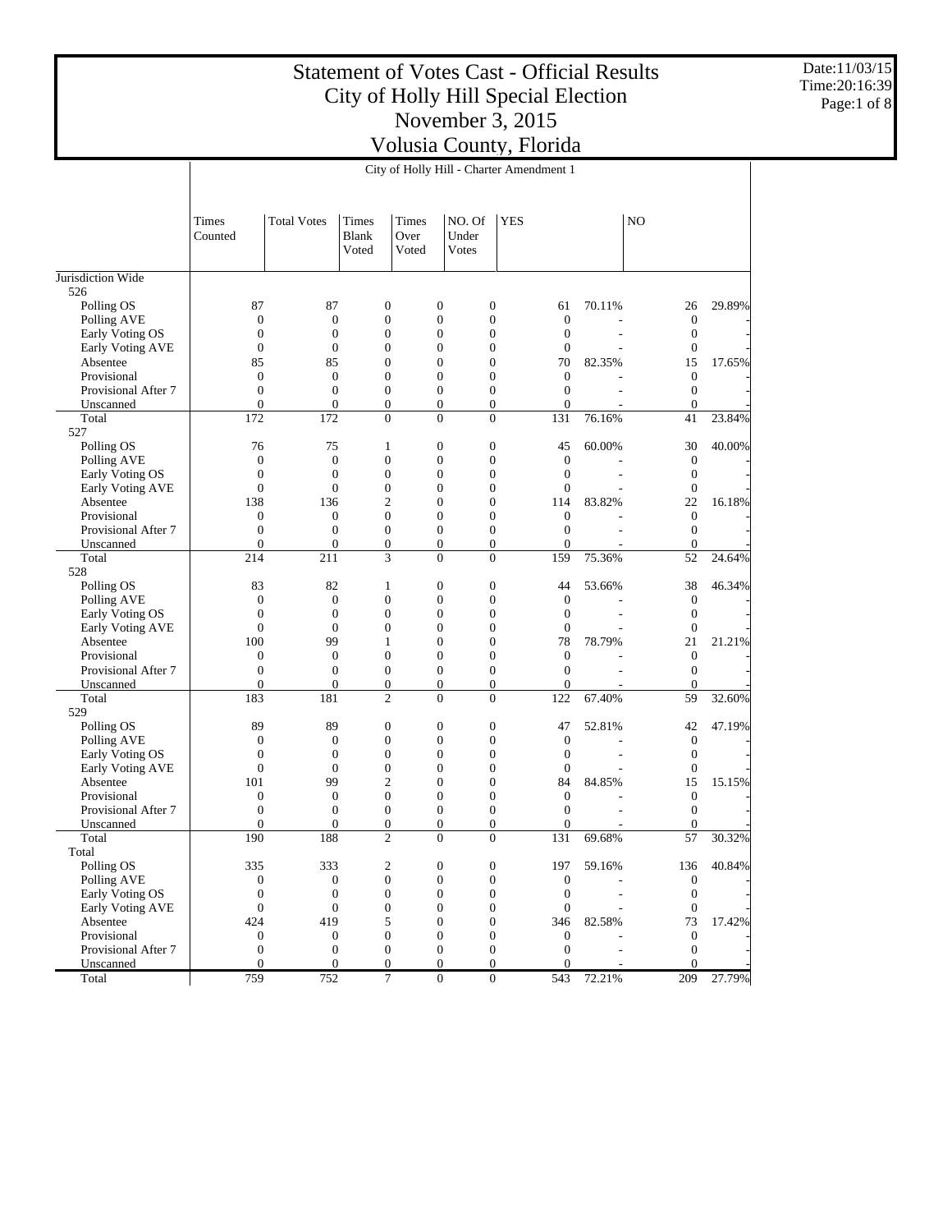Date:11/03/15 Time:20:16:39 Page:1 of 8

|                                  |                                      |                                      |                                      |                        |                                      |                                      | City of Holly Hill - Charter Amendment 1 |        |                                  |        |
|----------------------------------|--------------------------------------|--------------------------------------|--------------------------------------|------------------------|--------------------------------------|--------------------------------------|------------------------------------------|--------|----------------------------------|--------|
|                                  | Times<br>Counted                     | <b>Total Votes</b>                   | Times<br><b>Blank</b><br>Voted       | Times<br>Over<br>Voted | NO. Of<br>Under<br>Votes             |                                      | <b>YES</b>                               |        | NO                               |        |
| Jurisdiction Wide                |                                      |                                      |                                      |                        |                                      |                                      |                                          |        |                                  |        |
| 526                              |                                      |                                      |                                      |                        |                                      |                                      |                                          |        |                                  |        |
| Polling OS                       | 87                                   | 87                                   | $\boldsymbol{0}$                     |                        | $\boldsymbol{0}$                     | $\boldsymbol{0}$                     | 61                                       | 70.11% | 26                               | 29.89% |
| Polling AVE                      | $\boldsymbol{0}$                     | $\boldsymbol{0}$                     | $\boldsymbol{0}$                     |                        | $\boldsymbol{0}$                     | $\mathbf{0}$                         | $\boldsymbol{0}$                         |        | $\boldsymbol{0}$                 |        |
| Early Voting OS                  | $\mathbf{0}$                         | $\mathbf{0}$                         | $\boldsymbol{0}$                     |                        | $\boldsymbol{0}$                     | $\mathbf{0}$                         | $\boldsymbol{0}$                         |        | $\mathbf{0}$                     |        |
| <b>Early Voting AVE</b>          | $\boldsymbol{0}$                     | $\boldsymbol{0}$                     | $\mathbf{0}$                         |                        | $\boldsymbol{0}$                     | $\mathbf{0}$                         | $\mathbf{0}$                             |        | $\mathbf{0}$                     |        |
| Absentee                         | 85                                   | 85                                   | $\mathbf{0}$                         |                        | $\boldsymbol{0}$                     | $\mathbf{0}$                         | 70                                       | 82.35% | 15                               | 17.65% |
| Provisional                      | $\boldsymbol{0}$                     | $\boldsymbol{0}$                     | $\overline{0}$                       |                        | $\boldsymbol{0}$                     | $\mathbf{0}$                         | $\boldsymbol{0}$                         |        | $\mathbf{0}$                     |        |
| Provisional After 7<br>Unscanned | $\mathbf{0}$<br>$\boldsymbol{0}$     | $\boldsymbol{0}$<br>$\boldsymbol{0}$ | $\boldsymbol{0}$<br>$\mathbf{0}$     |                        | $\boldsymbol{0}$<br>$\mathbf{0}$     | $\boldsymbol{0}$<br>$\boldsymbol{0}$ | $\boldsymbol{0}$<br>$\mathbf{0}$         |        | $\mathbf{0}$<br>$\mathbf{0}$     |        |
| Total                            | 172                                  | 172                                  | $\Omega$                             |                        | $\mathbf{0}$                         | $\mathbf{0}$                         | 131                                      | 76.16% | 41                               | 23.84% |
| 527                              |                                      |                                      |                                      |                        |                                      |                                      |                                          |        |                                  |        |
| Polling OS                       | 76                                   | 75                                   | $\mathbf{1}$                         |                        | $\boldsymbol{0}$                     | $\mathbf{0}$                         | 45                                       | 60.00% | 30                               | 40.00% |
| Polling AVE                      | $\boldsymbol{0}$                     | $\boldsymbol{0}$                     | $\boldsymbol{0}$                     |                        | $\boldsymbol{0}$                     | $\mathbf{0}$                         | $\boldsymbol{0}$                         |        | $\mathbf{0}$                     |        |
| Early Voting OS                  | $\boldsymbol{0}$                     | $\mathbf{0}$                         | $\boldsymbol{0}$                     |                        | $\boldsymbol{0}$                     | $\mathbf{0}$                         | $\boldsymbol{0}$                         |        | $\mathbf{0}$                     |        |
| Early Voting AVE                 | $\boldsymbol{0}$                     | $\mathbf{0}$                         | $\mathbf{0}$                         |                        | $\boldsymbol{0}$                     | $\mathbf{0}$                         | $\mathbf{0}$                             |        | $\mathbf{0}$                     |        |
| Absentee                         | 138                                  | 136                                  | $\overline{2}$                       |                        | $\boldsymbol{0}$                     | $\mathbf{0}$                         | 114                                      | 83.82% | 22                               | 16.18% |
| Provisional                      | $\boldsymbol{0}$                     | $\mathbf{0}$                         | $\mathbf{0}$                         |                        | $\boldsymbol{0}$                     | $\mathbf{0}$                         | $\boldsymbol{0}$                         |        | $\mathbf{0}$                     |        |
| Provisional After 7              | $\mathbf{0}$                         | $\mathbf{0}$                         | $\boldsymbol{0}$                     |                        | $\boldsymbol{0}$                     | $\boldsymbol{0}$                     | $\boldsymbol{0}$                         |        | $\mathbf{0}$                     |        |
| Unscanned                        | $\boldsymbol{0}$                     | $\mathbf{0}$                         | $\mathbf{0}$                         |                        | $\mathbf{0}$                         | $\boldsymbol{0}$                     | $\overline{0}$                           |        | $\mathbf{0}$                     |        |
| Total                            | 214                                  | 211                                  | 3                                    |                        | $\boldsymbol{0}$                     | $\boldsymbol{0}$                     | 159                                      | 75.36% | 52                               | 24.64% |
| 528                              |                                      |                                      |                                      |                        |                                      |                                      |                                          |        |                                  |        |
| Polling OS                       | 83                                   | 82                                   | $\mathbf{1}$                         |                        | $\boldsymbol{0}$                     | $\mathbf{0}$                         | 44                                       | 53.66% | 38                               | 46.34% |
| Polling AVE                      | $\boldsymbol{0}$                     | $\boldsymbol{0}$                     | $\boldsymbol{0}$                     |                        | $\boldsymbol{0}$                     | $\mathbf{0}$                         | $\boldsymbol{0}$                         |        | $\mathbf{0}$                     |        |
| Early Voting OS                  | $\boldsymbol{0}$                     | $\mathbf{0}$                         | $\mathbf{0}$                         |                        | $\boldsymbol{0}$                     | $\mathbf{0}$                         | $\mathbf{0}$                             |        | $\mathbf{0}$                     |        |
| Early Voting AVE                 | $\boldsymbol{0}$                     | $\mathbf{0}$                         | $\overline{0}$                       |                        | $\boldsymbol{0}$                     | $\mathbf{0}$                         | $\mathbf{0}$                             |        | $\mathbf{0}$                     |        |
| Absentee                         | 100                                  | 99                                   | 1                                    |                        | $\boldsymbol{0}$                     | $\mathbf{0}$                         | 78                                       | 78.79% | 21                               | 21.21% |
| Provisional                      | $\boldsymbol{0}$                     | $\boldsymbol{0}$                     | $\overline{0}$                       |                        | $\boldsymbol{0}$                     | $\mathbf{0}$                         | $\boldsymbol{0}$                         |        | $\mathbf{0}$                     |        |
| Provisional After 7<br>Unscanned | $\mathbf{0}$<br>$\boldsymbol{0}$     | $\mathbf{0}$<br>$\boldsymbol{0}$     | $\boldsymbol{0}$<br>$\boldsymbol{0}$ |                        | $\boldsymbol{0}$<br>$\boldsymbol{0}$ | $\boldsymbol{0}$<br>$\boldsymbol{0}$ | $\boldsymbol{0}$<br>$\mathbf{0}$         |        | $\mathbf{0}$<br>$\mathbf{0}$     |        |
| Total                            | 183                                  | 181                                  | $\overline{2}$                       |                        | $\mathbf{0}$                         | $\mathbf{0}$                         | 122                                      | 67.40% | 59                               | 32.60% |
| 529                              |                                      |                                      |                                      |                        |                                      |                                      |                                          |        |                                  |        |
| Polling OS                       | 89                                   | 89                                   | $\boldsymbol{0}$                     |                        | $\boldsymbol{0}$                     | $\mathbf{0}$                         | 47                                       | 52.81% | 42                               | 47.19% |
| Polling AVE                      | $\boldsymbol{0}$                     | $\boldsymbol{0}$                     | $\boldsymbol{0}$                     |                        | $\boldsymbol{0}$                     | $\mathbf{0}$                         | $\boldsymbol{0}$                         |        | $\mathbf{0}$                     |        |
| Early Voting OS                  | $\boldsymbol{0}$                     | $\mathbf{0}$                         | $\boldsymbol{0}$                     |                        | $\boldsymbol{0}$                     | $\mathbf{0}$                         | $\boldsymbol{0}$                         |        | $\mathbf{0}$                     |        |
| Early Voting AVE                 | $\boldsymbol{0}$                     | $\mathbf{0}$                         | $\mathbf{0}$                         |                        | $\boldsymbol{0}$                     | $\mathbf{0}$                         | $\mathbf{0}$                             |        | $\mathbf{0}$                     |        |
| Absentee                         | 101                                  | 99                                   | $\overline{2}$                       |                        | $\boldsymbol{0}$                     | $\mathbf{0}$                         | 84                                       | 84.85% | 15                               | 15.15% |
| Provisional                      | $\boldsymbol{0}$                     | $\boldsymbol{0}$                     | $\overline{0}$                       |                        | $\boldsymbol{0}$                     | $\mathbf{0}$                         | $\boldsymbol{0}$                         |        | $\mathbf{0}$                     |        |
| Provisional After 7              | $\mathbf{0}$                         | $\mathbf{0}$                         | $\boldsymbol{0}$                     |                        | $\boldsymbol{0}$                     | $\boldsymbol{0}$                     | $\boldsymbol{0}$                         |        | $\mathbf{0}$                     |        |
| Unscanned                        | $\boldsymbol{0}$                     | $\overline{0}$                       | $\boldsymbol{0}$                     |                        | $\overline{0}$                       | $\mathbf{0}$                         | $\mathbf{0}$                             |        | $\overline{0}$                   |        |
| Total                            | 190                                  | 188                                  | $\overline{2}$                       |                        | $\mathbf{0}$                         | $\mathbf{0}$                         | 131                                      | 69.68% | 57                               | 30.32% |
| Total                            |                                      |                                      |                                      |                        |                                      |                                      |                                          |        |                                  |        |
| Polling OS                       | 335                                  | 333                                  | 2                                    |                        | 0                                    | 0                                    | 197                                      | 59.16% | 136                              | 40.84% |
| Polling AVE                      | $\boldsymbol{0}$                     | $\boldsymbol{0}$                     | $\boldsymbol{0}$                     |                        | $\boldsymbol{0}$                     | $\boldsymbol{0}$                     | $\boldsymbol{0}$                         |        | $\boldsymbol{0}$                 |        |
| Early Voting OS                  | $\boldsymbol{0}$                     | $\boldsymbol{0}$                     | $\boldsymbol{0}$                     |                        | $\boldsymbol{0}$                     | $\boldsymbol{0}$                     | $\boldsymbol{0}$                         |        | $\boldsymbol{0}$                 |        |
| Early Voting AVE                 | $\mathbf{0}$                         | $\boldsymbol{0}$                     | $\boldsymbol{0}$                     |                        | $\boldsymbol{0}$                     | $\boldsymbol{0}$                     | $\boldsymbol{0}$                         |        | $\boldsymbol{0}$                 |        |
| Absentee                         | 424                                  | 419                                  | 5                                    |                        | $\boldsymbol{0}$                     | $\boldsymbol{0}$                     | 346                                      | 82.58% | 73                               | 17.42% |
| Provisional                      | $\mathbf{0}$                         | $\boldsymbol{0}$                     | $\boldsymbol{0}$                     |                        | $\boldsymbol{0}$                     | $\boldsymbol{0}$                     | $\boldsymbol{0}$                         |        | $\mathbf{0}$                     |        |
| Provisional After 7<br>Unscanned | $\boldsymbol{0}$<br>$\boldsymbol{0}$ | $\boldsymbol{0}$<br>$\mathbf{0}$     | $\boldsymbol{0}$<br>$\mathbf{0}$     |                        | $\boldsymbol{0}$<br>$\mathbf{0}$     | $\boldsymbol{0}$<br>$\boldsymbol{0}$ | $\boldsymbol{0}$<br>$\mathbf{0}$         |        | $\boldsymbol{0}$<br>$\mathbf{0}$ |        |
| Total                            | 759                                  | 752                                  | 7                                    |                        | $\mathbf{0}$                         | $\boldsymbol{0}$                     | 543                                      | 72.21% | 209                              | 27.79% |
|                                  |                                      |                                      |                                      |                        |                                      |                                      |                                          |        |                                  |        |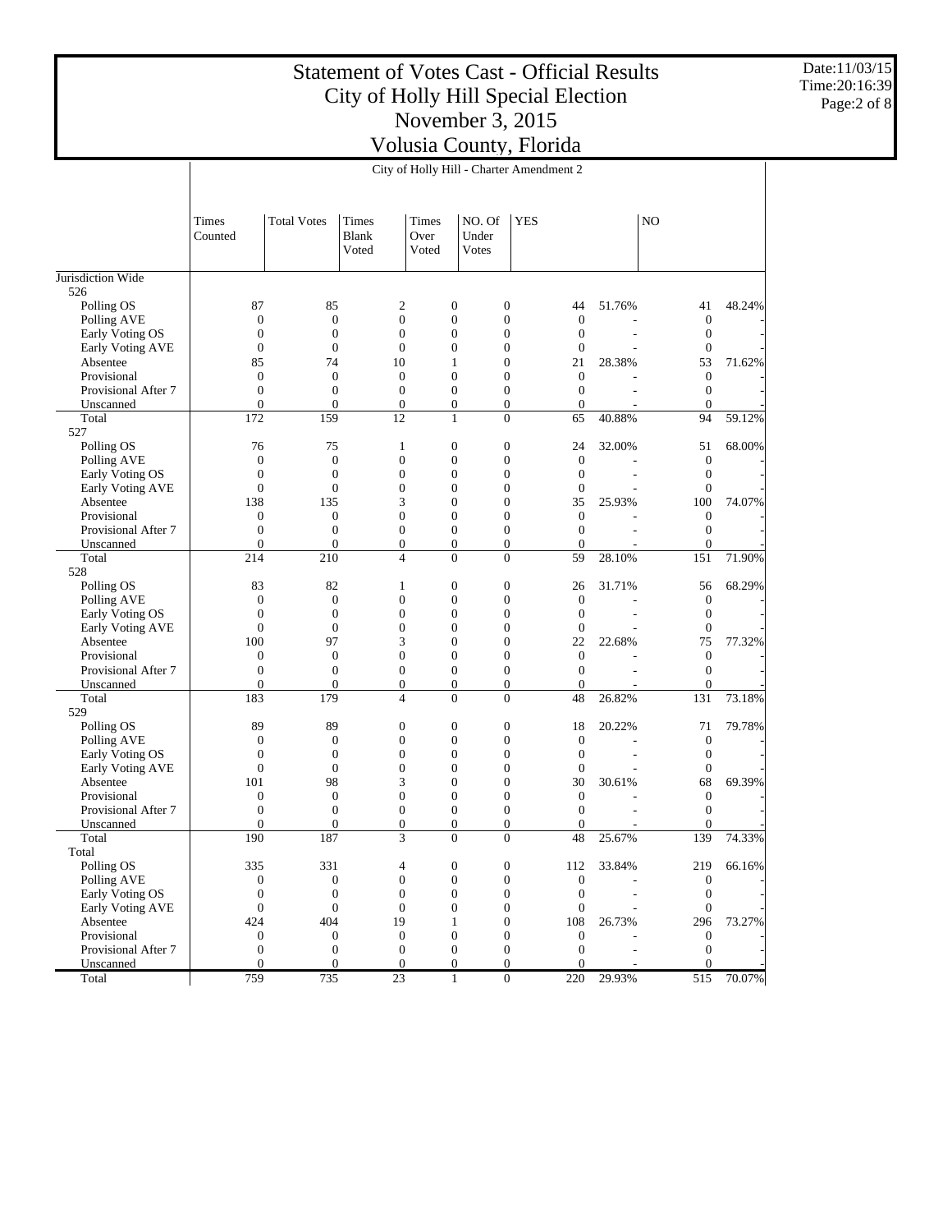Date:11/03/15 Time:20:16:39 Page:2 of 8

|                         |                         | City of Holly Hill - Charter Amendment 2 |                         |                                      |                                      |                        |                |                         |        |  |  |  |  |  |
|-------------------------|-------------------------|------------------------------------------|-------------------------|--------------------------------------|--------------------------------------|------------------------|----------------|-------------------------|--------|--|--|--|--|--|
|                         |                         |                                          |                         |                                      |                                      |                        |                |                         |        |  |  |  |  |  |
|                         | Times<br>Counted        | <b>Total Votes</b>                       | Times<br>Blank<br>Voted | Times<br>Over<br>Voted               | NO. Of<br>Under<br>Votes             | <b>YES</b>             |                | N <sub>O</sub>          |        |  |  |  |  |  |
| Jurisdiction Wide       |                         |                                          |                         |                                      |                                      |                        |                |                         |        |  |  |  |  |  |
| 526                     |                         |                                          |                         |                                      |                                      |                        |                |                         |        |  |  |  |  |  |
| Polling OS              | 87                      | 85                                       | $\sqrt{2}$              | $\mathbf{0}$                         | $\boldsymbol{0}$                     | 44                     | 51.76%         | 41                      | 48.24% |  |  |  |  |  |
| Polling AVE             | $\boldsymbol{0}$        | $\mathbf{0}$                             | $\boldsymbol{0}$        | $\boldsymbol{0}$                     | $\boldsymbol{0}$                     | $\mathbf{0}$           |                | $\mathbf{0}$            |        |  |  |  |  |  |
| Early Voting OS         | $\mathbf{0}$            | $\mathbf{0}$                             | $\boldsymbol{0}$        | $\boldsymbol{0}$                     | $\boldsymbol{0}$                     | $\boldsymbol{0}$       | L,             | $\boldsymbol{0}$        |        |  |  |  |  |  |
| Early Voting AVE        | $\mathbf{0}$            | $\overline{0}$                           | $\boldsymbol{0}$        | $\boldsymbol{0}$                     | $\boldsymbol{0}$                     | $\mathbf{0}$           |                | $\boldsymbol{0}$        |        |  |  |  |  |  |
| Absentee                | 85                      | 74                                       | 10                      | 1                                    | $\boldsymbol{0}$                     | 21                     | 28.38%         | 53                      | 71.62% |  |  |  |  |  |
| Provisional             | $\mathbf{0}$            | $\mathbf{0}$                             | $\boldsymbol{0}$        | $\boldsymbol{0}$                     | $\boldsymbol{0}$                     | $\boldsymbol{0}$       |                | $\boldsymbol{0}$        |        |  |  |  |  |  |
| Provisional After 7     | $\mathbf{0}$            | $\mathbf{0}$                             | $\boldsymbol{0}$        | $\boldsymbol{0}$                     | $\boldsymbol{0}$                     | $\boldsymbol{0}$       |                | $\boldsymbol{0}$        |        |  |  |  |  |  |
| Unscanned               | $\mathbf{0}$            | $\overline{0}$                           | $\boldsymbol{0}$        | $\boldsymbol{0}$                     | $\boldsymbol{0}$                     | $\overline{0}$         |                | $\boldsymbol{0}$        |        |  |  |  |  |  |
| Total                   | 172                     | 159                                      | 12                      | $\mathbf{1}$                         | $\mathbf{0}$                         | 65                     | 40.88%         | 94                      | 59.12% |  |  |  |  |  |
| 527                     |                         |                                          |                         |                                      |                                      |                        |                |                         |        |  |  |  |  |  |
| Polling OS              | 76                      | 75                                       | $\mathbf{1}$            | $\mathbf{0}$                         | $\boldsymbol{0}$                     | 24                     | 32.00%         | 51                      | 68.00% |  |  |  |  |  |
| Polling AVE             | $\boldsymbol{0}$        | $\mathbf{0}$                             | $\boldsymbol{0}$        | $\boldsymbol{0}$                     | $\boldsymbol{0}$                     | $\mathbf{0}$           |                | $\mathbf{0}$            |        |  |  |  |  |  |
| Early Voting OS         | $\mathbf{0}$            | $\mathbf{0}$                             | $\boldsymbol{0}$        | $\boldsymbol{0}$                     | $\boldsymbol{0}$                     | $\boldsymbol{0}$       | $\overline{a}$ | $\boldsymbol{0}$        |        |  |  |  |  |  |
| Early Voting AVE        | $\mathbf{0}$<br>138     | $\mathbf{0}$<br>135                      | $\boldsymbol{0}$<br>3   | $\boldsymbol{0}$<br>$\boldsymbol{0}$ | $\boldsymbol{0}$<br>$\boldsymbol{0}$ | $\mathbf{0}$<br>35     | 25.93%         | $\boldsymbol{0}$<br>100 | 74.07% |  |  |  |  |  |
| Absentee<br>Provisional | $\mathbf{0}$            | $\mathbf{0}$                             | $\boldsymbol{0}$        | $\boldsymbol{0}$                     | $\boldsymbol{0}$                     | $\boldsymbol{0}$       |                | $\boldsymbol{0}$        |        |  |  |  |  |  |
| Provisional After 7     | $\mathbf{0}$            | $\mathbf{0}$                             | $\mathbf{0}$            | $\boldsymbol{0}$                     | $\boldsymbol{0}$                     | $\boldsymbol{0}$       | $\overline{a}$ | $\boldsymbol{0}$        |        |  |  |  |  |  |
| Unscanned               | $\mathbf{0}$            | $\overline{0}$                           | $\boldsymbol{0}$        | $\boldsymbol{0}$                     | $\boldsymbol{0}$                     | $\overline{0}$         |                | $\boldsymbol{0}$        |        |  |  |  |  |  |
| Total                   | 214                     | 210                                      | $\overline{4}$          | $\overline{0}$                       | $\boldsymbol{0}$                     | 59                     | 28.10%         | 151                     | 71.90% |  |  |  |  |  |
| 528                     |                         |                                          |                         |                                      |                                      |                        |                |                         |        |  |  |  |  |  |
| Polling OS              | 83                      | 82                                       | 1                       | $\mathbf{0}$                         | $\boldsymbol{0}$                     | 26                     | 31.71%         | 56                      | 68.29% |  |  |  |  |  |
| Polling AVE             | $\boldsymbol{0}$        | $\mathbf{0}$                             | $\boldsymbol{0}$        | $\boldsymbol{0}$                     | $\boldsymbol{0}$                     | $\mathbf{0}$           |                | $\boldsymbol{0}$        |        |  |  |  |  |  |
| Early Voting OS         | $\mathbf{0}$            | $\mathbf{0}$                             | $\boldsymbol{0}$        | $\boldsymbol{0}$                     | $\boldsymbol{0}$                     | $\mathbf{0}$           |                | $\boldsymbol{0}$        |        |  |  |  |  |  |
| Early Voting AVE        | $\mathbf{0}$            | $\mathbf{0}$                             | $\boldsymbol{0}$        | $\boldsymbol{0}$                     | $\boldsymbol{0}$                     | $\mathbf{0}$           |                | $\boldsymbol{0}$        |        |  |  |  |  |  |
| Absentee                | 100                     | 97                                       | 3                       | $\boldsymbol{0}$                     | $\boldsymbol{0}$                     | 22                     | 22.68%         | 75                      | 77.32% |  |  |  |  |  |
| Provisional             | $\mathbf{0}$            | $\mathbf{0}$                             | $\boldsymbol{0}$        | $\boldsymbol{0}$                     | $\boldsymbol{0}$                     | $\boldsymbol{0}$       |                | $\boldsymbol{0}$        |        |  |  |  |  |  |
| Provisional After 7     | $\mathbf{0}$            | $\mathbf{0}$                             | $\boldsymbol{0}$        | $\boldsymbol{0}$                     | $\boldsymbol{0}$                     | $\boldsymbol{0}$       | $\overline{a}$ | $\boldsymbol{0}$        |        |  |  |  |  |  |
| Unscanned               | $\mathbf{0}$            | $\mathbf{0}$                             | $\mathbf{0}$            | $\boldsymbol{0}$                     | $\boldsymbol{0}$                     | $\overline{0}$         |                | $\boldsymbol{0}$        |        |  |  |  |  |  |
| Total                   | 183                     | 179                                      | $\overline{4}$          | $\overline{0}$                       | $\overline{0}$                       | 48                     | 26.82%         | 131                     | 73.18% |  |  |  |  |  |
| 529                     |                         |                                          |                         |                                      |                                      |                        |                |                         |        |  |  |  |  |  |
| Polling OS              | 89                      | 89                                       | $\boldsymbol{0}$        | $\mathbf{0}$                         | $\boldsymbol{0}$                     | 18                     | 20.22%         | 71                      | 79.78% |  |  |  |  |  |
| Polling AVE             | $\boldsymbol{0}$        | $\mathbf{0}$                             | $\boldsymbol{0}$        | $\boldsymbol{0}$                     | $\boldsymbol{0}$                     | $\boldsymbol{0}$       |                | $\boldsymbol{0}$        |        |  |  |  |  |  |
| Early Voting OS         | $\mathbf{0}$            | $\mathbf{0}$                             | $\boldsymbol{0}$        | $\boldsymbol{0}$                     | $\boldsymbol{0}$                     | $\mathbf{0}$           |                | $\boldsymbol{0}$        |        |  |  |  |  |  |
| <b>Early Voting AVE</b> | $\mathbf{0}$            | $\mathbf{0}$                             | $\boldsymbol{0}$<br>3   | $\boldsymbol{0}$                     | $\boldsymbol{0}$                     | $\mathbf{0}$           |                | $\boldsymbol{0}$<br>68  | 69.39% |  |  |  |  |  |
| Absentee<br>Provisional | 101<br>$\boldsymbol{0}$ | 98<br>$\mathbf{0}$                       | $\boldsymbol{0}$        | $\boldsymbol{0}$<br>$\boldsymbol{0}$ | $\boldsymbol{0}$<br>$\boldsymbol{0}$ | 30<br>$\boldsymbol{0}$ | 30.61%         | $\boldsymbol{0}$        |        |  |  |  |  |  |
| Provisional After 7     | $\mathbf{0}$            | $\mathbf{0}$                             | $\mathbf{0}$            | $\boldsymbol{0}$                     | $\boldsymbol{0}$                     | $\boldsymbol{0}$       |                | $\boldsymbol{0}$        |        |  |  |  |  |  |
| Unscanned               | $\mathbf{0}$            | $\mathbf{0}$                             | $\boldsymbol{0}$        | $\boldsymbol{0}$                     | $\boldsymbol{0}$                     | $\overline{0}$         |                | $\overline{0}$          |        |  |  |  |  |  |
| Total                   | 190                     | 187                                      | 3                       | $\overline{0}$                       | $\overline{0}$                       | 48                     | 25.67%         | 139                     | 74.33% |  |  |  |  |  |
| Total                   |                         |                                          |                         |                                      |                                      |                        |                |                         |        |  |  |  |  |  |
| Polling OS              | 335                     | 331                                      | 4                       | $\bf{0}$                             | 0                                    | 112                    | 33.84%         | 219                     | 66.16% |  |  |  |  |  |
| Polling AVE             | $\boldsymbol{0}$        | $\boldsymbol{0}$                         | $\boldsymbol{0}$        | $\boldsymbol{0}$                     | $\boldsymbol{0}$                     | $\mathbf{0}$           |                | $\boldsymbol{0}$        |        |  |  |  |  |  |
| Early Voting OS         | $\boldsymbol{0}$        | $\mathbf{0}$                             | $\boldsymbol{0}$        | $\boldsymbol{0}$                     | $\boldsymbol{0}$                     | $\boldsymbol{0}$       |                | $\mathbf{0}$            |        |  |  |  |  |  |
| Early Voting AVE        | $\mathbf{0}$            | $\mathbf{0}$                             | $\boldsymbol{0}$        | $\boldsymbol{0}$                     | $\boldsymbol{0}$                     | $\boldsymbol{0}$       |                | $\mathbf{0}$            |        |  |  |  |  |  |
| Absentee                | 424                     | 404                                      | 19                      | $\mathbf{1}$                         | $\boldsymbol{0}$                     | 108                    | 26.73%         | 296                     | 73.27% |  |  |  |  |  |
| Provisional             | $\boldsymbol{0}$        | $\boldsymbol{0}$                         | $\boldsymbol{0}$        | $\boldsymbol{0}$                     | $\boldsymbol{0}$                     | $\boldsymbol{0}$       |                | $\mathbf{0}$            |        |  |  |  |  |  |
| Provisional After 7     | $\mathbf{0}$            | $\boldsymbol{0}$                         | $\mathbf{0}$            | $\boldsymbol{0}$                     | $\boldsymbol{0}$                     | $\boldsymbol{0}$       |                | $\mathbf{0}$            |        |  |  |  |  |  |
| Unscanned               | $\mathbf{0}$            | $\mathbf{0}$                             | $\mathbf{0}$            | $\boldsymbol{0}$                     | $\boldsymbol{0}$                     | $\Omega$               |                | $\mathbf{0}$            |        |  |  |  |  |  |
| Total                   | 759                     | 735                                      | 23                      | $\mathbf{1}$                         | $\mathbf{0}$                         | 220                    | 29.93%         | 515                     | 70.07% |  |  |  |  |  |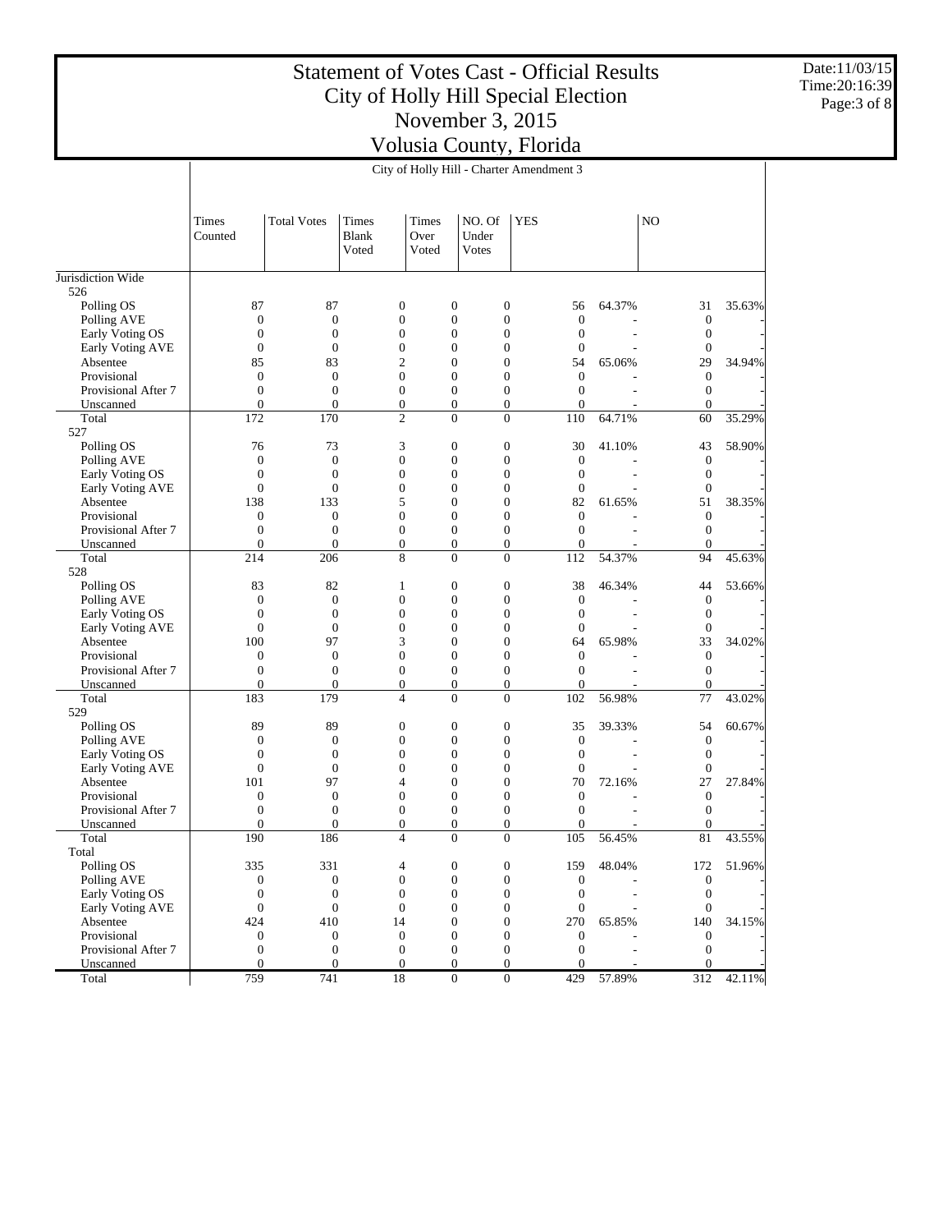Date:11/03/15 Time:20:16:39 Page:3 of 8

| <b>Total Votes</b><br><b>Times</b><br>Times<br>NO. Of<br><b>YES</b><br>N <sub>O</sub><br>Times<br><b>Blank</b><br>Under<br>Counted<br>Over<br>Voted<br>Voted<br>Votes<br>Jurisdiction Wide<br>526<br>87<br>87<br>$\mathbf{0}$<br>$\mathbf{0}$<br>$\boldsymbol{0}$<br>64.37%<br>35.63%<br>Polling OS<br>56<br>31<br>$\mathbf{0}$<br>$\boldsymbol{0}$<br>$\mathbf{0}$<br>$\mathbf{0}$<br>$\mathbf{0}$<br>Polling AVE<br>$\boldsymbol{0}$<br>$\mathbf{0}$<br>$\boldsymbol{0}$<br>$\mathbf{0}$<br>$\mathbf{0}$<br>$\mathbf{0}$<br>$\mathbf{0}$<br>$\boldsymbol{0}$<br>$\mathbf{0}$<br>Early Voting OS<br>$\boldsymbol{0}$<br>$\mathbf{0}$<br>$\overline{0}$<br>$\mathbf{0}$<br>$\mathbf{0}$<br>$\mathbf{0}$<br>Early Voting AVE<br>$\boldsymbol{0}$<br>$\overline{2}$<br>29<br>85<br>83<br>$\mathbf{0}$<br>$\boldsymbol{0}$<br>34.94%<br>Absentee<br>54<br>65.06%<br>$\boldsymbol{0}$<br>$\mathbf{0}$<br>$\mathbf{0}$<br>$\boldsymbol{0}$<br>$\mathbf{0}$<br>$\mathbf{0}$<br>$\boldsymbol{0}$<br>Provisional<br>$\boldsymbol{0}$<br>Provisional After 7<br>$\mathbf{0}$<br>$\mathbf{0}$<br>$\boldsymbol{0}$<br>$\mathbf{0}$<br>$\mathbf{0}$<br>$\boldsymbol{0}$<br>$\overline{a}$<br>$\boldsymbol{0}$<br>$\mathbf{0}$<br>$\mathbf{0}$<br>$\boldsymbol{0}$<br>$\boldsymbol{0}$<br>$\boldsymbol{0}$<br>Unscanned<br>$\overline{0}$<br>170<br>$\overline{2}$<br>$\overline{0}$<br>35.29%<br>Total<br>172<br>$\mathbf{0}$<br>110<br>64.71%<br>60<br>527<br>3<br>76<br>73<br>$\mathbf{0}$<br>$\boldsymbol{0}$<br>30<br>58.90%<br>Polling OS<br>41.10%<br>43<br>$\mathbf{0}$<br>$\boldsymbol{0}$<br>$\mathbf{0}$<br>$\mathbf{0}$<br>$\mathbf{0}$<br>$\boldsymbol{0}$<br>Polling AVE<br>$\mathbf{0}$<br>$\boldsymbol{0}$<br>$\mathbf{0}$<br>$\mathbf{0}$<br>$\mathbf{0}$<br>$\mathbf{0}$<br>$\boldsymbol{0}$<br>$\mathbf{0}$<br>Early Voting OS<br>$\boldsymbol{0}$<br>$\mathbf{0}$<br>$\mathbf{0}$<br>$\mathbf{0}$<br>$\mathbf{0}$<br>$\mathbf{0}$<br><b>Early Voting AVE</b><br>$\boldsymbol{0}$<br>5<br>$\boldsymbol{0}$<br>138<br>133<br>$\mathbf{0}$<br>82<br>51<br>38.35%<br>Absentee<br>61.65%<br>$\boldsymbol{0}$<br>$\mathbf{0}$<br>$\mathbf{0}$<br>$\overline{0}$<br>$\mathbf{0}$<br>$\mathbf{0}$<br>$\mathbf{0}$<br>Provisional<br>Provisional After 7<br>$\mathbf{0}$<br>$\mathbf{0}$<br>$\boldsymbol{0}$<br>$\mathbf{0}$<br>$\boldsymbol{0}$<br>$\boldsymbol{0}$<br>$\boldsymbol{0}$<br>$\overline{\phantom{a}}$<br>$\boldsymbol{0}$<br>$\mathbf{0}$<br>$\mathbf{0}$<br>$\boldsymbol{0}$<br>$\mathbf{0}$<br>$\overline{0}$<br>$\boldsymbol{0}$<br>Unscanned<br>8<br>$\overline{0}$<br>54.37%<br>94<br>45.63%<br>Total<br>214<br>206<br>$\mathbf{0}$<br>112<br>528<br>83<br>82<br>$\mathbf{0}$<br>$\boldsymbol{0}$<br>38<br>53.66%<br>Polling OS<br>1<br>46.34%<br>44<br>$\mathbf{0}$<br>$\boldsymbol{0}$<br>$\mathbf{0}$<br>$\mathbf{0}$<br>$\mathbf{0}$<br>$\mathbf{0}$<br>$\boldsymbol{0}$<br>Polling AVE<br>$\boldsymbol{0}$<br>$\mathbf{0}$<br>$\mathbf{0}$<br>$\mathbf{0}$<br>$\mathbf{0}$<br>$\mathbf{0}$<br>Early Voting OS<br>$\boldsymbol{0}$<br>L,<br>$\boldsymbol{0}$<br>Early Voting AVE<br>$\mathbf{0}$<br>$\mathbf{0}$<br>$\mathbf{0}$<br>$\mathbf{0}$<br>$\mathbf{0}$<br>$\boldsymbol{0}$<br>3<br>33<br>100<br>97<br>$\mathbf{0}$<br>$\boldsymbol{0}$<br>65.98%<br>34.02%<br>Absentee<br>64<br>$\boldsymbol{0}$<br>$\mathbf{0}$<br>$\mathbf{0}$<br>$\mathbf{0}$<br>$\mathbf{0}$<br>$\mathbf{0}$<br>$\mathbf{0}$<br>Provisional<br>$\boldsymbol{0}$<br>$\boldsymbol{0}$<br>Provisional After 7<br>$\mathbf{0}$<br>$\mathbf{0}$<br>$\boldsymbol{0}$<br>$\mathbf{0}$<br>$\overline{0}$<br>L.<br>$\boldsymbol{0}$<br>$\mathbf{0}$<br>$\mathbf{0}$<br>$\boldsymbol{0}$<br>$\boldsymbol{0}$<br>$\overline{0}$<br>$\boldsymbol{0}$<br>Unscanned<br>179<br>77<br>43.02%<br>Total<br>183<br>$\overline{4}$<br>$\mathbf{0}$<br>$\overline{0}$<br>102<br>56.98%<br>529<br>89<br>89<br>$\mathbf{0}$<br>$\mathbf{0}$<br>$\boldsymbol{0}$<br>35<br>54<br>60.67%<br>Polling OS<br>39.33%<br>$\boldsymbol{0}$<br>$\mathbf{0}$<br>$\mathbf{0}$<br>$\mathbf{0}$<br>$\mathbf{0}$<br>Polling AVE<br>$\boldsymbol{0}$<br>$\boldsymbol{0}$<br>$\boldsymbol{0}$<br>$\mathbf{0}$<br>$\mathbf{0}$<br>$\mathbf{0}$<br>$\mathbf{0}$<br>$\mathbf{0}$<br>$\mathbf{0}$<br>Early Voting OS<br>$\boldsymbol{0}$<br>$\mathbf{0}$<br>$\mathbf{0}$<br>$\overline{0}$<br>$\mathbf{0}$<br>$\mathbf{0}$<br><b>Early Voting AVE</b><br>$\boldsymbol{0}$<br>97<br>$\mathbf{0}$<br>$\boldsymbol{0}$<br>70<br>27<br>27.84%<br>Absentee<br>101<br>4<br>72.16%<br>$\boldsymbol{0}$<br>$\mathbf{0}$<br>$\mathbf{0}$<br>$\mathbf{0}$<br>$\mathbf{0}$<br>$\mathbf{0}$<br>Provisional<br>$\boldsymbol{0}$<br>$\mathbf{0}$<br>$\mathbf{0}$<br>$\boldsymbol{0}$<br>$\mathbf{0}$<br>$\boldsymbol{0}$<br>$\boldsymbol{0}$<br>$\boldsymbol{0}$<br>Provisional After 7<br>÷,<br>$\boldsymbol{0}$<br>$\mathbf{0}$<br>$\overline{0}$<br>$\boldsymbol{0}$<br>$\mathbf{0}$<br>$\overline{0}$<br>$\mathbf{0}$<br>Unscanned<br>$\overline{0}$<br>81<br>43.55%<br>190<br>186<br>$\overline{4}$<br>$\mathbf{0}$<br>105<br>56.45%<br>Total<br>Total<br>Polling OS<br>335<br>331<br>4<br>$\boldsymbol{0}$<br>0<br>159<br>48.04%<br>172<br>51.96%<br>$\boldsymbol{0}$<br>$\boldsymbol{0}$<br>$\boldsymbol{0}$<br>Polling AVE<br>$\boldsymbol{0}$<br>$\boldsymbol{0}$<br>$\boldsymbol{0}$<br>$\mathbf{0}$<br>Early Voting OS<br>$\boldsymbol{0}$<br>$\boldsymbol{0}$<br>$\boldsymbol{0}$<br>$\mathbf{0}$<br>$\mathbf{0}$<br>$\mathbf{0}$<br>$\mathbf{0}$<br>$\boldsymbol{0}$<br>$\boldsymbol{0}$<br>Early Voting AVE<br>$\mathbf{0}$<br>$\boldsymbol{0}$<br>$\mathbf{0}$<br>$\mathbf{0}$<br>$\mathbf{0}$<br>140<br>Absentee<br>424<br>410<br>14<br>$\mathbf{0}$<br>$\mathbf{0}$<br>270<br>65.85%<br>34.15%<br>$\boldsymbol{0}$<br>Provisional<br>$\boldsymbol{0}$<br>$\mathbf{0}$<br>$\boldsymbol{0}$<br>$\mathbf{0}$<br>$\boldsymbol{0}$<br>$\mathbf{0}$<br>Provisional After 7<br>$\boldsymbol{0}$<br>$\mathbf{0}$<br>$\boldsymbol{0}$<br>$\boldsymbol{0}$<br>$\mathbf{0}$<br>$\mathbf{0}$<br>$\mathbf{0}$<br>÷,<br>Unscanned<br>$\mathbf{0}$<br>$\boldsymbol{0}$<br>$\boldsymbol{0}$<br>$\mathbf{0}$<br>$\boldsymbol{0}$<br>$\mathbf{0}$<br>$\Omega$<br>759<br>18<br>57.89%<br>Total<br>741<br>$\mathbf{0}$<br>$\boldsymbol{0}$<br>429<br>312<br>42.11% |  | City of Holly Hill - Charter Amendment 3 |  |  |  |  |  |  |  |  |  |
|-----------------------------------------------------------------------------------------------------------------------------------------------------------------------------------------------------------------------------------------------------------------------------------------------------------------------------------------------------------------------------------------------------------------------------------------------------------------------------------------------------------------------------------------------------------------------------------------------------------------------------------------------------------------------------------------------------------------------------------------------------------------------------------------------------------------------------------------------------------------------------------------------------------------------------------------------------------------------------------------------------------------------------------------------------------------------------------------------------------------------------------------------------------------------------------------------------------------------------------------------------------------------------------------------------------------------------------------------------------------------------------------------------------------------------------------------------------------------------------------------------------------------------------------------------------------------------------------------------------------------------------------------------------------------------------------------------------------------------------------------------------------------------------------------------------------------------------------------------------------------------------------------------------------------------------------------------------------------------------------------------------------------------------------------------------------------------------------------------------------------------------------------------------------------------------------------------------------------------------------------------------------------------------------------------------------------------------------------------------------------------------------------------------------------------------------------------------------------------------------------------------------------------------------------------------------------------------------------------------------------------------------------------------------------------------------------------------------------------------------------------------------------------------------------------------------------------------------------------------------------------------------------------------------------------------------------------------------------------------------------------------------------------------------------------------------------------------------------------------------------------------------------------------------------------------------------------------------------------------------------------------------------------------------------------------------------------------------------------------------------------------------------------------------------------------------------------------------------------------------------------------------------------------------------------------------------------------------------------------------------------------------------------------------------------------------------------------------------------------------------------------------------------------------------------------------------------------------------------------------------------------------------------------------------------------------------------------------------------------------------------------------------------------------------------------------------------------------------------------------------------------------------------------------------------------------------------------------------------------------------------------------------------------------------------------------------------------------------------------------------------------------------------------------------------------------------------------------------------------------------------------------------------------------------------------------------------------------------------------------------------------------------------------------------------------------------------------------------------------------------------------------------------------------------------------------------------------------------------------------------------------------------------------------------------------------------------------------------------------------------------------------------------------------------------------------------------------------------------------------------------------------------------------------------------------------------------------------------------------------------------------------------------------------------------------------------------------------------------------------------------------------------------------------------------------------------------------------------------------------------------------------------------------------------------------------------------------------------------------------------------------------------------------------------------------------------------------------------------------------------------------------------------------------------------------------------------------------------------------------------------------------------------------------------------------------------------------------------------------------------------------------------------------------------------------------------------------------------------------------------------------------------------------------------------------------------------------------------------------------------------------------------------------------------------------|--|------------------------------------------|--|--|--|--|--|--|--|--|--|
|                                                                                                                                                                                                                                                                                                                                                                                                                                                                                                                                                                                                                                                                                                                                                                                                                                                                                                                                                                                                                                                                                                                                                                                                                                                                                                                                                                                                                                                                                                                                                                                                                                                                                                                                                                                                                                                                                                                                                                                                                                                                                                                                                                                                                                                                                                                                                                                                                                                                                                                                                                                                                                                                                                                                                                                                                                                                                                                                                                                                                                                                                                                                                                                                                                                                                                                                                                                                                                                                                                                                                                                                                                                                                                                                                                                                                                                                                                                                                                                                                                                                                                                                                                                                                                                                                                                                                                                                                                                                                                                                                                                                                                                                                                                                                                                                                                                                                                                                                                                                                                                                                                                                                                                                                                                                                                                                                                                                                                                                                                                                                                                                                                                                                                                                                                                                                                                                                                                                                                                                                                                                                                                                                                                                                                                                                                           |  |                                          |  |  |  |  |  |  |  |  |  |
|                                                                                                                                                                                                                                                                                                                                                                                                                                                                                                                                                                                                                                                                                                                                                                                                                                                                                                                                                                                                                                                                                                                                                                                                                                                                                                                                                                                                                                                                                                                                                                                                                                                                                                                                                                                                                                                                                                                                                                                                                                                                                                                                                                                                                                                                                                                                                                                                                                                                                                                                                                                                                                                                                                                                                                                                                                                                                                                                                                                                                                                                                                                                                                                                                                                                                                                                                                                                                                                                                                                                                                                                                                                                                                                                                                                                                                                                                                                                                                                                                                                                                                                                                                                                                                                                                                                                                                                                                                                                                                                                                                                                                                                                                                                                                                                                                                                                                                                                                                                                                                                                                                                                                                                                                                                                                                                                                                                                                                                                                                                                                                                                                                                                                                                                                                                                                                                                                                                                                                                                                                                                                                                                                                                                                                                                                                           |  |                                          |  |  |  |  |  |  |  |  |  |
|                                                                                                                                                                                                                                                                                                                                                                                                                                                                                                                                                                                                                                                                                                                                                                                                                                                                                                                                                                                                                                                                                                                                                                                                                                                                                                                                                                                                                                                                                                                                                                                                                                                                                                                                                                                                                                                                                                                                                                                                                                                                                                                                                                                                                                                                                                                                                                                                                                                                                                                                                                                                                                                                                                                                                                                                                                                                                                                                                                                                                                                                                                                                                                                                                                                                                                                                                                                                                                                                                                                                                                                                                                                                                                                                                                                                                                                                                                                                                                                                                                                                                                                                                                                                                                                                                                                                                                                                                                                                                                                                                                                                                                                                                                                                                                                                                                                                                                                                                                                                                                                                                                                                                                                                                                                                                                                                                                                                                                                                                                                                                                                                                                                                                                                                                                                                                                                                                                                                                                                                                                                                                                                                                                                                                                                                                                           |  |                                          |  |  |  |  |  |  |  |  |  |
|                                                                                                                                                                                                                                                                                                                                                                                                                                                                                                                                                                                                                                                                                                                                                                                                                                                                                                                                                                                                                                                                                                                                                                                                                                                                                                                                                                                                                                                                                                                                                                                                                                                                                                                                                                                                                                                                                                                                                                                                                                                                                                                                                                                                                                                                                                                                                                                                                                                                                                                                                                                                                                                                                                                                                                                                                                                                                                                                                                                                                                                                                                                                                                                                                                                                                                                                                                                                                                                                                                                                                                                                                                                                                                                                                                                                                                                                                                                                                                                                                                                                                                                                                                                                                                                                                                                                                                                                                                                                                                                                                                                                                                                                                                                                                                                                                                                                                                                                                                                                                                                                                                                                                                                                                                                                                                                                                                                                                                                                                                                                                                                                                                                                                                                                                                                                                                                                                                                                                                                                                                                                                                                                                                                                                                                                                                           |  |                                          |  |  |  |  |  |  |  |  |  |
|                                                                                                                                                                                                                                                                                                                                                                                                                                                                                                                                                                                                                                                                                                                                                                                                                                                                                                                                                                                                                                                                                                                                                                                                                                                                                                                                                                                                                                                                                                                                                                                                                                                                                                                                                                                                                                                                                                                                                                                                                                                                                                                                                                                                                                                                                                                                                                                                                                                                                                                                                                                                                                                                                                                                                                                                                                                                                                                                                                                                                                                                                                                                                                                                                                                                                                                                                                                                                                                                                                                                                                                                                                                                                                                                                                                                                                                                                                                                                                                                                                                                                                                                                                                                                                                                                                                                                                                                                                                                                                                                                                                                                                                                                                                                                                                                                                                                                                                                                                                                                                                                                                                                                                                                                                                                                                                                                                                                                                                                                                                                                                                                                                                                                                                                                                                                                                                                                                                                                                                                                                                                                                                                                                                                                                                                                                           |  |                                          |  |  |  |  |  |  |  |  |  |
|                                                                                                                                                                                                                                                                                                                                                                                                                                                                                                                                                                                                                                                                                                                                                                                                                                                                                                                                                                                                                                                                                                                                                                                                                                                                                                                                                                                                                                                                                                                                                                                                                                                                                                                                                                                                                                                                                                                                                                                                                                                                                                                                                                                                                                                                                                                                                                                                                                                                                                                                                                                                                                                                                                                                                                                                                                                                                                                                                                                                                                                                                                                                                                                                                                                                                                                                                                                                                                                                                                                                                                                                                                                                                                                                                                                                                                                                                                                                                                                                                                                                                                                                                                                                                                                                                                                                                                                                                                                                                                                                                                                                                                                                                                                                                                                                                                                                                                                                                                                                                                                                                                                                                                                                                                                                                                                                                                                                                                                                                                                                                                                                                                                                                                                                                                                                                                                                                                                                                                                                                                                                                                                                                                                                                                                                                                           |  |                                          |  |  |  |  |  |  |  |  |  |
|                                                                                                                                                                                                                                                                                                                                                                                                                                                                                                                                                                                                                                                                                                                                                                                                                                                                                                                                                                                                                                                                                                                                                                                                                                                                                                                                                                                                                                                                                                                                                                                                                                                                                                                                                                                                                                                                                                                                                                                                                                                                                                                                                                                                                                                                                                                                                                                                                                                                                                                                                                                                                                                                                                                                                                                                                                                                                                                                                                                                                                                                                                                                                                                                                                                                                                                                                                                                                                                                                                                                                                                                                                                                                                                                                                                                                                                                                                                                                                                                                                                                                                                                                                                                                                                                                                                                                                                                                                                                                                                                                                                                                                                                                                                                                                                                                                                                                                                                                                                                                                                                                                                                                                                                                                                                                                                                                                                                                                                                                                                                                                                                                                                                                                                                                                                                                                                                                                                                                                                                                                                                                                                                                                                                                                                                                                           |  |                                          |  |  |  |  |  |  |  |  |  |
|                                                                                                                                                                                                                                                                                                                                                                                                                                                                                                                                                                                                                                                                                                                                                                                                                                                                                                                                                                                                                                                                                                                                                                                                                                                                                                                                                                                                                                                                                                                                                                                                                                                                                                                                                                                                                                                                                                                                                                                                                                                                                                                                                                                                                                                                                                                                                                                                                                                                                                                                                                                                                                                                                                                                                                                                                                                                                                                                                                                                                                                                                                                                                                                                                                                                                                                                                                                                                                                                                                                                                                                                                                                                                                                                                                                                                                                                                                                                                                                                                                                                                                                                                                                                                                                                                                                                                                                                                                                                                                                                                                                                                                                                                                                                                                                                                                                                                                                                                                                                                                                                                                                                                                                                                                                                                                                                                                                                                                                                                                                                                                                                                                                                                                                                                                                                                                                                                                                                                                                                                                                                                                                                                                                                                                                                                                           |  |                                          |  |  |  |  |  |  |  |  |  |
|                                                                                                                                                                                                                                                                                                                                                                                                                                                                                                                                                                                                                                                                                                                                                                                                                                                                                                                                                                                                                                                                                                                                                                                                                                                                                                                                                                                                                                                                                                                                                                                                                                                                                                                                                                                                                                                                                                                                                                                                                                                                                                                                                                                                                                                                                                                                                                                                                                                                                                                                                                                                                                                                                                                                                                                                                                                                                                                                                                                                                                                                                                                                                                                                                                                                                                                                                                                                                                                                                                                                                                                                                                                                                                                                                                                                                                                                                                                                                                                                                                                                                                                                                                                                                                                                                                                                                                                                                                                                                                                                                                                                                                                                                                                                                                                                                                                                                                                                                                                                                                                                                                                                                                                                                                                                                                                                                                                                                                                                                                                                                                                                                                                                                                                                                                                                                                                                                                                                                                                                                                                                                                                                                                                                                                                                                                           |  |                                          |  |  |  |  |  |  |  |  |  |
|                                                                                                                                                                                                                                                                                                                                                                                                                                                                                                                                                                                                                                                                                                                                                                                                                                                                                                                                                                                                                                                                                                                                                                                                                                                                                                                                                                                                                                                                                                                                                                                                                                                                                                                                                                                                                                                                                                                                                                                                                                                                                                                                                                                                                                                                                                                                                                                                                                                                                                                                                                                                                                                                                                                                                                                                                                                                                                                                                                                                                                                                                                                                                                                                                                                                                                                                                                                                                                                                                                                                                                                                                                                                                                                                                                                                                                                                                                                                                                                                                                                                                                                                                                                                                                                                                                                                                                                                                                                                                                                                                                                                                                                                                                                                                                                                                                                                                                                                                                                                                                                                                                                                                                                                                                                                                                                                                                                                                                                                                                                                                                                                                                                                                                                                                                                                                                                                                                                                                                                                                                                                                                                                                                                                                                                                                                           |  |                                          |  |  |  |  |  |  |  |  |  |
|                                                                                                                                                                                                                                                                                                                                                                                                                                                                                                                                                                                                                                                                                                                                                                                                                                                                                                                                                                                                                                                                                                                                                                                                                                                                                                                                                                                                                                                                                                                                                                                                                                                                                                                                                                                                                                                                                                                                                                                                                                                                                                                                                                                                                                                                                                                                                                                                                                                                                                                                                                                                                                                                                                                                                                                                                                                                                                                                                                                                                                                                                                                                                                                                                                                                                                                                                                                                                                                                                                                                                                                                                                                                                                                                                                                                                                                                                                                                                                                                                                                                                                                                                                                                                                                                                                                                                                                                                                                                                                                                                                                                                                                                                                                                                                                                                                                                                                                                                                                                                                                                                                                                                                                                                                                                                                                                                                                                                                                                                                                                                                                                                                                                                                                                                                                                                                                                                                                                                                                                                                                                                                                                                                                                                                                                                                           |  |                                          |  |  |  |  |  |  |  |  |  |
|                                                                                                                                                                                                                                                                                                                                                                                                                                                                                                                                                                                                                                                                                                                                                                                                                                                                                                                                                                                                                                                                                                                                                                                                                                                                                                                                                                                                                                                                                                                                                                                                                                                                                                                                                                                                                                                                                                                                                                                                                                                                                                                                                                                                                                                                                                                                                                                                                                                                                                                                                                                                                                                                                                                                                                                                                                                                                                                                                                                                                                                                                                                                                                                                                                                                                                                                                                                                                                                                                                                                                                                                                                                                                                                                                                                                                                                                                                                                                                                                                                                                                                                                                                                                                                                                                                                                                                                                                                                                                                                                                                                                                                                                                                                                                                                                                                                                                                                                                                                                                                                                                                                                                                                                                                                                                                                                                                                                                                                                                                                                                                                                                                                                                                                                                                                                                                                                                                                                                                                                                                                                                                                                                                                                                                                                                                           |  |                                          |  |  |  |  |  |  |  |  |  |
|                                                                                                                                                                                                                                                                                                                                                                                                                                                                                                                                                                                                                                                                                                                                                                                                                                                                                                                                                                                                                                                                                                                                                                                                                                                                                                                                                                                                                                                                                                                                                                                                                                                                                                                                                                                                                                                                                                                                                                                                                                                                                                                                                                                                                                                                                                                                                                                                                                                                                                                                                                                                                                                                                                                                                                                                                                                                                                                                                                                                                                                                                                                                                                                                                                                                                                                                                                                                                                                                                                                                                                                                                                                                                                                                                                                                                                                                                                                                                                                                                                                                                                                                                                                                                                                                                                                                                                                                                                                                                                                                                                                                                                                                                                                                                                                                                                                                                                                                                                                                                                                                                                                                                                                                                                                                                                                                                                                                                                                                                                                                                                                                                                                                                                                                                                                                                                                                                                                                                                                                                                                                                                                                                                                                                                                                                                           |  |                                          |  |  |  |  |  |  |  |  |  |
|                                                                                                                                                                                                                                                                                                                                                                                                                                                                                                                                                                                                                                                                                                                                                                                                                                                                                                                                                                                                                                                                                                                                                                                                                                                                                                                                                                                                                                                                                                                                                                                                                                                                                                                                                                                                                                                                                                                                                                                                                                                                                                                                                                                                                                                                                                                                                                                                                                                                                                                                                                                                                                                                                                                                                                                                                                                                                                                                                                                                                                                                                                                                                                                                                                                                                                                                                                                                                                                                                                                                                                                                                                                                                                                                                                                                                                                                                                                                                                                                                                                                                                                                                                                                                                                                                                                                                                                                                                                                                                                                                                                                                                                                                                                                                                                                                                                                                                                                                                                                                                                                                                                                                                                                                                                                                                                                                                                                                                                                                                                                                                                                                                                                                                                                                                                                                                                                                                                                                                                                                                                                                                                                                                                                                                                                                                           |  |                                          |  |  |  |  |  |  |  |  |  |
|                                                                                                                                                                                                                                                                                                                                                                                                                                                                                                                                                                                                                                                                                                                                                                                                                                                                                                                                                                                                                                                                                                                                                                                                                                                                                                                                                                                                                                                                                                                                                                                                                                                                                                                                                                                                                                                                                                                                                                                                                                                                                                                                                                                                                                                                                                                                                                                                                                                                                                                                                                                                                                                                                                                                                                                                                                                                                                                                                                                                                                                                                                                                                                                                                                                                                                                                                                                                                                                                                                                                                                                                                                                                                                                                                                                                                                                                                                                                                                                                                                                                                                                                                                                                                                                                                                                                                                                                                                                                                                                                                                                                                                                                                                                                                                                                                                                                                                                                                                                                                                                                                                                                                                                                                                                                                                                                                                                                                                                                                                                                                                                                                                                                                                                                                                                                                                                                                                                                                                                                                                                                                                                                                                                                                                                                                                           |  |                                          |  |  |  |  |  |  |  |  |  |
|                                                                                                                                                                                                                                                                                                                                                                                                                                                                                                                                                                                                                                                                                                                                                                                                                                                                                                                                                                                                                                                                                                                                                                                                                                                                                                                                                                                                                                                                                                                                                                                                                                                                                                                                                                                                                                                                                                                                                                                                                                                                                                                                                                                                                                                                                                                                                                                                                                                                                                                                                                                                                                                                                                                                                                                                                                                                                                                                                                                                                                                                                                                                                                                                                                                                                                                                                                                                                                                                                                                                                                                                                                                                                                                                                                                                                                                                                                                                                                                                                                                                                                                                                                                                                                                                                                                                                                                                                                                                                                                                                                                                                                                                                                                                                                                                                                                                                                                                                                                                                                                                                                                                                                                                                                                                                                                                                                                                                                                                                                                                                                                                                                                                                                                                                                                                                                                                                                                                                                                                                                                                                                                                                                                                                                                                                                           |  |                                          |  |  |  |  |  |  |  |  |  |
|                                                                                                                                                                                                                                                                                                                                                                                                                                                                                                                                                                                                                                                                                                                                                                                                                                                                                                                                                                                                                                                                                                                                                                                                                                                                                                                                                                                                                                                                                                                                                                                                                                                                                                                                                                                                                                                                                                                                                                                                                                                                                                                                                                                                                                                                                                                                                                                                                                                                                                                                                                                                                                                                                                                                                                                                                                                                                                                                                                                                                                                                                                                                                                                                                                                                                                                                                                                                                                                                                                                                                                                                                                                                                                                                                                                                                                                                                                                                                                                                                                                                                                                                                                                                                                                                                                                                                                                                                                                                                                                                                                                                                                                                                                                                                                                                                                                                                                                                                                                                                                                                                                                                                                                                                                                                                                                                                                                                                                                                                                                                                                                                                                                                                                                                                                                                                                                                                                                                                                                                                                                                                                                                                                                                                                                                                                           |  |                                          |  |  |  |  |  |  |  |  |  |
|                                                                                                                                                                                                                                                                                                                                                                                                                                                                                                                                                                                                                                                                                                                                                                                                                                                                                                                                                                                                                                                                                                                                                                                                                                                                                                                                                                                                                                                                                                                                                                                                                                                                                                                                                                                                                                                                                                                                                                                                                                                                                                                                                                                                                                                                                                                                                                                                                                                                                                                                                                                                                                                                                                                                                                                                                                                                                                                                                                                                                                                                                                                                                                                                                                                                                                                                                                                                                                                                                                                                                                                                                                                                                                                                                                                                                                                                                                                                                                                                                                                                                                                                                                                                                                                                                                                                                                                                                                                                                                                                                                                                                                                                                                                                                                                                                                                                                                                                                                                                                                                                                                                                                                                                                                                                                                                                                                                                                                                                                                                                                                                                                                                                                                                                                                                                                                                                                                                                                                                                                                                                                                                                                                                                                                                                                                           |  |                                          |  |  |  |  |  |  |  |  |  |
|                                                                                                                                                                                                                                                                                                                                                                                                                                                                                                                                                                                                                                                                                                                                                                                                                                                                                                                                                                                                                                                                                                                                                                                                                                                                                                                                                                                                                                                                                                                                                                                                                                                                                                                                                                                                                                                                                                                                                                                                                                                                                                                                                                                                                                                                                                                                                                                                                                                                                                                                                                                                                                                                                                                                                                                                                                                                                                                                                                                                                                                                                                                                                                                                                                                                                                                                                                                                                                                                                                                                                                                                                                                                                                                                                                                                                                                                                                                                                                                                                                                                                                                                                                                                                                                                                                                                                                                                                                                                                                                                                                                                                                                                                                                                                                                                                                                                                                                                                                                                                                                                                                                                                                                                                                                                                                                                                                                                                                                                                                                                                                                                                                                                                                                                                                                                                                                                                                                                                                                                                                                                                                                                                                                                                                                                                                           |  |                                          |  |  |  |  |  |  |  |  |  |
|                                                                                                                                                                                                                                                                                                                                                                                                                                                                                                                                                                                                                                                                                                                                                                                                                                                                                                                                                                                                                                                                                                                                                                                                                                                                                                                                                                                                                                                                                                                                                                                                                                                                                                                                                                                                                                                                                                                                                                                                                                                                                                                                                                                                                                                                                                                                                                                                                                                                                                                                                                                                                                                                                                                                                                                                                                                                                                                                                                                                                                                                                                                                                                                                                                                                                                                                                                                                                                                                                                                                                                                                                                                                                                                                                                                                                                                                                                                                                                                                                                                                                                                                                                                                                                                                                                                                                                                                                                                                                                                                                                                                                                                                                                                                                                                                                                                                                                                                                                                                                                                                                                                                                                                                                                                                                                                                                                                                                                                                                                                                                                                                                                                                                                                                                                                                                                                                                                                                                                                                                                                                                                                                                                                                                                                                                                           |  |                                          |  |  |  |  |  |  |  |  |  |
|                                                                                                                                                                                                                                                                                                                                                                                                                                                                                                                                                                                                                                                                                                                                                                                                                                                                                                                                                                                                                                                                                                                                                                                                                                                                                                                                                                                                                                                                                                                                                                                                                                                                                                                                                                                                                                                                                                                                                                                                                                                                                                                                                                                                                                                                                                                                                                                                                                                                                                                                                                                                                                                                                                                                                                                                                                                                                                                                                                                                                                                                                                                                                                                                                                                                                                                                                                                                                                                                                                                                                                                                                                                                                                                                                                                                                                                                                                                                                                                                                                                                                                                                                                                                                                                                                                                                                                                                                                                                                                                                                                                                                                                                                                                                                                                                                                                                                                                                                                                                                                                                                                                                                                                                                                                                                                                                                                                                                                                                                                                                                                                                                                                                                                                                                                                                                                                                                                                                                                                                                                                                                                                                                                                                                                                                                                           |  |                                          |  |  |  |  |  |  |  |  |  |
|                                                                                                                                                                                                                                                                                                                                                                                                                                                                                                                                                                                                                                                                                                                                                                                                                                                                                                                                                                                                                                                                                                                                                                                                                                                                                                                                                                                                                                                                                                                                                                                                                                                                                                                                                                                                                                                                                                                                                                                                                                                                                                                                                                                                                                                                                                                                                                                                                                                                                                                                                                                                                                                                                                                                                                                                                                                                                                                                                                                                                                                                                                                                                                                                                                                                                                                                                                                                                                                                                                                                                                                                                                                                                                                                                                                                                                                                                                                                                                                                                                                                                                                                                                                                                                                                                                                                                                                                                                                                                                                                                                                                                                                                                                                                                                                                                                                                                                                                                                                                                                                                                                                                                                                                                                                                                                                                                                                                                                                                                                                                                                                                                                                                                                                                                                                                                                                                                                                                                                                                                                                                                                                                                                                                                                                                                                           |  |                                          |  |  |  |  |  |  |  |  |  |
|                                                                                                                                                                                                                                                                                                                                                                                                                                                                                                                                                                                                                                                                                                                                                                                                                                                                                                                                                                                                                                                                                                                                                                                                                                                                                                                                                                                                                                                                                                                                                                                                                                                                                                                                                                                                                                                                                                                                                                                                                                                                                                                                                                                                                                                                                                                                                                                                                                                                                                                                                                                                                                                                                                                                                                                                                                                                                                                                                                                                                                                                                                                                                                                                                                                                                                                                                                                                                                                                                                                                                                                                                                                                                                                                                                                                                                                                                                                                                                                                                                                                                                                                                                                                                                                                                                                                                                                                                                                                                                                                                                                                                                                                                                                                                                                                                                                                                                                                                                                                                                                                                                                                                                                                                                                                                                                                                                                                                                                                                                                                                                                                                                                                                                                                                                                                                                                                                                                                                                                                                                                                                                                                                                                                                                                                                                           |  |                                          |  |  |  |  |  |  |  |  |  |
|                                                                                                                                                                                                                                                                                                                                                                                                                                                                                                                                                                                                                                                                                                                                                                                                                                                                                                                                                                                                                                                                                                                                                                                                                                                                                                                                                                                                                                                                                                                                                                                                                                                                                                                                                                                                                                                                                                                                                                                                                                                                                                                                                                                                                                                                                                                                                                                                                                                                                                                                                                                                                                                                                                                                                                                                                                                                                                                                                                                                                                                                                                                                                                                                                                                                                                                                                                                                                                                                                                                                                                                                                                                                                                                                                                                                                                                                                                                                                                                                                                                                                                                                                                                                                                                                                                                                                                                                                                                                                                                                                                                                                                                                                                                                                                                                                                                                                                                                                                                                                                                                                                                                                                                                                                                                                                                                                                                                                                                                                                                                                                                                                                                                                                                                                                                                                                                                                                                                                                                                                                                                                                                                                                                                                                                                                                           |  |                                          |  |  |  |  |  |  |  |  |  |
|                                                                                                                                                                                                                                                                                                                                                                                                                                                                                                                                                                                                                                                                                                                                                                                                                                                                                                                                                                                                                                                                                                                                                                                                                                                                                                                                                                                                                                                                                                                                                                                                                                                                                                                                                                                                                                                                                                                                                                                                                                                                                                                                                                                                                                                                                                                                                                                                                                                                                                                                                                                                                                                                                                                                                                                                                                                                                                                                                                                                                                                                                                                                                                                                                                                                                                                                                                                                                                                                                                                                                                                                                                                                                                                                                                                                                                                                                                                                                                                                                                                                                                                                                                                                                                                                                                                                                                                                                                                                                                                                                                                                                                                                                                                                                                                                                                                                                                                                                                                                                                                                                                                                                                                                                                                                                                                                                                                                                                                                                                                                                                                                                                                                                                                                                                                                                                                                                                                                                                                                                                                                                                                                                                                                                                                                                                           |  |                                          |  |  |  |  |  |  |  |  |  |
|                                                                                                                                                                                                                                                                                                                                                                                                                                                                                                                                                                                                                                                                                                                                                                                                                                                                                                                                                                                                                                                                                                                                                                                                                                                                                                                                                                                                                                                                                                                                                                                                                                                                                                                                                                                                                                                                                                                                                                                                                                                                                                                                                                                                                                                                                                                                                                                                                                                                                                                                                                                                                                                                                                                                                                                                                                                                                                                                                                                                                                                                                                                                                                                                                                                                                                                                                                                                                                                                                                                                                                                                                                                                                                                                                                                                                                                                                                                                                                                                                                                                                                                                                                                                                                                                                                                                                                                                                                                                                                                                                                                                                                                                                                                                                                                                                                                                                                                                                                                                                                                                                                                                                                                                                                                                                                                                                                                                                                                                                                                                                                                                                                                                                                                                                                                                                                                                                                                                                                                                                                                                                                                                                                                                                                                                                                           |  |                                          |  |  |  |  |  |  |  |  |  |
|                                                                                                                                                                                                                                                                                                                                                                                                                                                                                                                                                                                                                                                                                                                                                                                                                                                                                                                                                                                                                                                                                                                                                                                                                                                                                                                                                                                                                                                                                                                                                                                                                                                                                                                                                                                                                                                                                                                                                                                                                                                                                                                                                                                                                                                                                                                                                                                                                                                                                                                                                                                                                                                                                                                                                                                                                                                                                                                                                                                                                                                                                                                                                                                                                                                                                                                                                                                                                                                                                                                                                                                                                                                                                                                                                                                                                                                                                                                                                                                                                                                                                                                                                                                                                                                                                                                                                                                                                                                                                                                                                                                                                                                                                                                                                                                                                                                                                                                                                                                                                                                                                                                                                                                                                                                                                                                                                                                                                                                                                                                                                                                                                                                                                                                                                                                                                                                                                                                                                                                                                                                                                                                                                                                                                                                                                                           |  |                                          |  |  |  |  |  |  |  |  |  |
|                                                                                                                                                                                                                                                                                                                                                                                                                                                                                                                                                                                                                                                                                                                                                                                                                                                                                                                                                                                                                                                                                                                                                                                                                                                                                                                                                                                                                                                                                                                                                                                                                                                                                                                                                                                                                                                                                                                                                                                                                                                                                                                                                                                                                                                                                                                                                                                                                                                                                                                                                                                                                                                                                                                                                                                                                                                                                                                                                                                                                                                                                                                                                                                                                                                                                                                                                                                                                                                                                                                                                                                                                                                                                                                                                                                                                                                                                                                                                                                                                                                                                                                                                                                                                                                                                                                                                                                                                                                                                                                                                                                                                                                                                                                                                                                                                                                                                                                                                                                                                                                                                                                                                                                                                                                                                                                                                                                                                                                                                                                                                                                                                                                                                                                                                                                                                                                                                                                                                                                                                                                                                                                                                                                                                                                                                                           |  |                                          |  |  |  |  |  |  |  |  |  |
|                                                                                                                                                                                                                                                                                                                                                                                                                                                                                                                                                                                                                                                                                                                                                                                                                                                                                                                                                                                                                                                                                                                                                                                                                                                                                                                                                                                                                                                                                                                                                                                                                                                                                                                                                                                                                                                                                                                                                                                                                                                                                                                                                                                                                                                                                                                                                                                                                                                                                                                                                                                                                                                                                                                                                                                                                                                                                                                                                                                                                                                                                                                                                                                                                                                                                                                                                                                                                                                                                                                                                                                                                                                                                                                                                                                                                                                                                                                                                                                                                                                                                                                                                                                                                                                                                                                                                                                                                                                                                                                                                                                                                                                                                                                                                                                                                                                                                                                                                                                                                                                                                                                                                                                                                                                                                                                                                                                                                                                                                                                                                                                                                                                                                                                                                                                                                                                                                                                                                                                                                                                                                                                                                                                                                                                                                                           |  |                                          |  |  |  |  |  |  |  |  |  |
|                                                                                                                                                                                                                                                                                                                                                                                                                                                                                                                                                                                                                                                                                                                                                                                                                                                                                                                                                                                                                                                                                                                                                                                                                                                                                                                                                                                                                                                                                                                                                                                                                                                                                                                                                                                                                                                                                                                                                                                                                                                                                                                                                                                                                                                                                                                                                                                                                                                                                                                                                                                                                                                                                                                                                                                                                                                                                                                                                                                                                                                                                                                                                                                                                                                                                                                                                                                                                                                                                                                                                                                                                                                                                                                                                                                                                                                                                                                                                                                                                                                                                                                                                                                                                                                                                                                                                                                                                                                                                                                                                                                                                                                                                                                                                                                                                                                                                                                                                                                                                                                                                                                                                                                                                                                                                                                                                                                                                                                                                                                                                                                                                                                                                                                                                                                                                                                                                                                                                                                                                                                                                                                                                                                                                                                                                                           |  |                                          |  |  |  |  |  |  |  |  |  |
|                                                                                                                                                                                                                                                                                                                                                                                                                                                                                                                                                                                                                                                                                                                                                                                                                                                                                                                                                                                                                                                                                                                                                                                                                                                                                                                                                                                                                                                                                                                                                                                                                                                                                                                                                                                                                                                                                                                                                                                                                                                                                                                                                                                                                                                                                                                                                                                                                                                                                                                                                                                                                                                                                                                                                                                                                                                                                                                                                                                                                                                                                                                                                                                                                                                                                                                                                                                                                                                                                                                                                                                                                                                                                                                                                                                                                                                                                                                                                                                                                                                                                                                                                                                                                                                                                                                                                                                                                                                                                                                                                                                                                                                                                                                                                                                                                                                                                                                                                                                                                                                                                                                                                                                                                                                                                                                                                                                                                                                                                                                                                                                                                                                                                                                                                                                                                                                                                                                                                                                                                                                                                                                                                                                                                                                                                                           |  |                                          |  |  |  |  |  |  |  |  |  |
|                                                                                                                                                                                                                                                                                                                                                                                                                                                                                                                                                                                                                                                                                                                                                                                                                                                                                                                                                                                                                                                                                                                                                                                                                                                                                                                                                                                                                                                                                                                                                                                                                                                                                                                                                                                                                                                                                                                                                                                                                                                                                                                                                                                                                                                                                                                                                                                                                                                                                                                                                                                                                                                                                                                                                                                                                                                                                                                                                                                                                                                                                                                                                                                                                                                                                                                                                                                                                                                                                                                                                                                                                                                                                                                                                                                                                                                                                                                                                                                                                                                                                                                                                                                                                                                                                                                                                                                                                                                                                                                                                                                                                                                                                                                                                                                                                                                                                                                                                                                                                                                                                                                                                                                                                                                                                                                                                                                                                                                                                                                                                                                                                                                                                                                                                                                                                                                                                                                                                                                                                                                                                                                                                                                                                                                                                                           |  |                                          |  |  |  |  |  |  |  |  |  |
|                                                                                                                                                                                                                                                                                                                                                                                                                                                                                                                                                                                                                                                                                                                                                                                                                                                                                                                                                                                                                                                                                                                                                                                                                                                                                                                                                                                                                                                                                                                                                                                                                                                                                                                                                                                                                                                                                                                                                                                                                                                                                                                                                                                                                                                                                                                                                                                                                                                                                                                                                                                                                                                                                                                                                                                                                                                                                                                                                                                                                                                                                                                                                                                                                                                                                                                                                                                                                                                                                                                                                                                                                                                                                                                                                                                                                                                                                                                                                                                                                                                                                                                                                                                                                                                                                                                                                                                                                                                                                                                                                                                                                                                                                                                                                                                                                                                                                                                                                                                                                                                                                                                                                                                                                                                                                                                                                                                                                                                                                                                                                                                                                                                                                                                                                                                                                                                                                                                                                                                                                                                                                                                                                                                                                                                                                                           |  |                                          |  |  |  |  |  |  |  |  |  |
|                                                                                                                                                                                                                                                                                                                                                                                                                                                                                                                                                                                                                                                                                                                                                                                                                                                                                                                                                                                                                                                                                                                                                                                                                                                                                                                                                                                                                                                                                                                                                                                                                                                                                                                                                                                                                                                                                                                                                                                                                                                                                                                                                                                                                                                                                                                                                                                                                                                                                                                                                                                                                                                                                                                                                                                                                                                                                                                                                                                                                                                                                                                                                                                                                                                                                                                                                                                                                                                                                                                                                                                                                                                                                                                                                                                                                                                                                                                                                                                                                                                                                                                                                                                                                                                                                                                                                                                                                                                                                                                                                                                                                                                                                                                                                                                                                                                                                                                                                                                                                                                                                                                                                                                                                                                                                                                                                                                                                                                                                                                                                                                                                                                                                                                                                                                                                                                                                                                                                                                                                                                                                                                                                                                                                                                                                                           |  |                                          |  |  |  |  |  |  |  |  |  |
|                                                                                                                                                                                                                                                                                                                                                                                                                                                                                                                                                                                                                                                                                                                                                                                                                                                                                                                                                                                                                                                                                                                                                                                                                                                                                                                                                                                                                                                                                                                                                                                                                                                                                                                                                                                                                                                                                                                                                                                                                                                                                                                                                                                                                                                                                                                                                                                                                                                                                                                                                                                                                                                                                                                                                                                                                                                                                                                                                                                                                                                                                                                                                                                                                                                                                                                                                                                                                                                                                                                                                                                                                                                                                                                                                                                                                                                                                                                                                                                                                                                                                                                                                                                                                                                                                                                                                                                                                                                                                                                                                                                                                                                                                                                                                                                                                                                                                                                                                                                                                                                                                                                                                                                                                                                                                                                                                                                                                                                                                                                                                                                                                                                                                                                                                                                                                                                                                                                                                                                                                                                                                                                                                                                                                                                                                                           |  |                                          |  |  |  |  |  |  |  |  |  |
|                                                                                                                                                                                                                                                                                                                                                                                                                                                                                                                                                                                                                                                                                                                                                                                                                                                                                                                                                                                                                                                                                                                                                                                                                                                                                                                                                                                                                                                                                                                                                                                                                                                                                                                                                                                                                                                                                                                                                                                                                                                                                                                                                                                                                                                                                                                                                                                                                                                                                                                                                                                                                                                                                                                                                                                                                                                                                                                                                                                                                                                                                                                                                                                                                                                                                                                                                                                                                                                                                                                                                                                                                                                                                                                                                                                                                                                                                                                                                                                                                                                                                                                                                                                                                                                                                                                                                                                                                                                                                                                                                                                                                                                                                                                                                                                                                                                                                                                                                                                                                                                                                                                                                                                                                                                                                                                                                                                                                                                                                                                                                                                                                                                                                                                                                                                                                                                                                                                                                                                                                                                                                                                                                                                                                                                                                                           |  |                                          |  |  |  |  |  |  |  |  |  |
|                                                                                                                                                                                                                                                                                                                                                                                                                                                                                                                                                                                                                                                                                                                                                                                                                                                                                                                                                                                                                                                                                                                                                                                                                                                                                                                                                                                                                                                                                                                                                                                                                                                                                                                                                                                                                                                                                                                                                                                                                                                                                                                                                                                                                                                                                                                                                                                                                                                                                                                                                                                                                                                                                                                                                                                                                                                                                                                                                                                                                                                                                                                                                                                                                                                                                                                                                                                                                                                                                                                                                                                                                                                                                                                                                                                                                                                                                                                                                                                                                                                                                                                                                                                                                                                                                                                                                                                                                                                                                                                                                                                                                                                                                                                                                                                                                                                                                                                                                                                                                                                                                                                                                                                                                                                                                                                                                                                                                                                                                                                                                                                                                                                                                                                                                                                                                                                                                                                                                                                                                                                                                                                                                                                                                                                                                                           |  |                                          |  |  |  |  |  |  |  |  |  |
|                                                                                                                                                                                                                                                                                                                                                                                                                                                                                                                                                                                                                                                                                                                                                                                                                                                                                                                                                                                                                                                                                                                                                                                                                                                                                                                                                                                                                                                                                                                                                                                                                                                                                                                                                                                                                                                                                                                                                                                                                                                                                                                                                                                                                                                                                                                                                                                                                                                                                                                                                                                                                                                                                                                                                                                                                                                                                                                                                                                                                                                                                                                                                                                                                                                                                                                                                                                                                                                                                                                                                                                                                                                                                                                                                                                                                                                                                                                                                                                                                                                                                                                                                                                                                                                                                                                                                                                                                                                                                                                                                                                                                                                                                                                                                                                                                                                                                                                                                                                                                                                                                                                                                                                                                                                                                                                                                                                                                                                                                                                                                                                                                                                                                                                                                                                                                                                                                                                                                                                                                                                                                                                                                                                                                                                                                                           |  |                                          |  |  |  |  |  |  |  |  |  |
|                                                                                                                                                                                                                                                                                                                                                                                                                                                                                                                                                                                                                                                                                                                                                                                                                                                                                                                                                                                                                                                                                                                                                                                                                                                                                                                                                                                                                                                                                                                                                                                                                                                                                                                                                                                                                                                                                                                                                                                                                                                                                                                                                                                                                                                                                                                                                                                                                                                                                                                                                                                                                                                                                                                                                                                                                                                                                                                                                                                                                                                                                                                                                                                                                                                                                                                                                                                                                                                                                                                                                                                                                                                                                                                                                                                                                                                                                                                                                                                                                                                                                                                                                                                                                                                                                                                                                                                                                                                                                                                                                                                                                                                                                                                                                                                                                                                                                                                                                                                                                                                                                                                                                                                                                                                                                                                                                                                                                                                                                                                                                                                                                                                                                                                                                                                                                                                                                                                                                                                                                                                                                                                                                                                                                                                                                                           |  |                                          |  |  |  |  |  |  |  |  |  |
|                                                                                                                                                                                                                                                                                                                                                                                                                                                                                                                                                                                                                                                                                                                                                                                                                                                                                                                                                                                                                                                                                                                                                                                                                                                                                                                                                                                                                                                                                                                                                                                                                                                                                                                                                                                                                                                                                                                                                                                                                                                                                                                                                                                                                                                                                                                                                                                                                                                                                                                                                                                                                                                                                                                                                                                                                                                                                                                                                                                                                                                                                                                                                                                                                                                                                                                                                                                                                                                                                                                                                                                                                                                                                                                                                                                                                                                                                                                                                                                                                                                                                                                                                                                                                                                                                                                                                                                                                                                                                                                                                                                                                                                                                                                                                                                                                                                                                                                                                                                                                                                                                                                                                                                                                                                                                                                                                                                                                                                                                                                                                                                                                                                                                                                                                                                                                                                                                                                                                                                                                                                                                                                                                                                                                                                                                                           |  |                                          |  |  |  |  |  |  |  |  |  |
|                                                                                                                                                                                                                                                                                                                                                                                                                                                                                                                                                                                                                                                                                                                                                                                                                                                                                                                                                                                                                                                                                                                                                                                                                                                                                                                                                                                                                                                                                                                                                                                                                                                                                                                                                                                                                                                                                                                                                                                                                                                                                                                                                                                                                                                                                                                                                                                                                                                                                                                                                                                                                                                                                                                                                                                                                                                                                                                                                                                                                                                                                                                                                                                                                                                                                                                                                                                                                                                                                                                                                                                                                                                                                                                                                                                                                                                                                                                                                                                                                                                                                                                                                                                                                                                                                                                                                                                                                                                                                                                                                                                                                                                                                                                                                                                                                                                                                                                                                                                                                                                                                                                                                                                                                                                                                                                                                                                                                                                                                                                                                                                                                                                                                                                                                                                                                                                                                                                                                                                                                                                                                                                                                                                                                                                                                                           |  |                                          |  |  |  |  |  |  |  |  |  |
|                                                                                                                                                                                                                                                                                                                                                                                                                                                                                                                                                                                                                                                                                                                                                                                                                                                                                                                                                                                                                                                                                                                                                                                                                                                                                                                                                                                                                                                                                                                                                                                                                                                                                                                                                                                                                                                                                                                                                                                                                                                                                                                                                                                                                                                                                                                                                                                                                                                                                                                                                                                                                                                                                                                                                                                                                                                                                                                                                                                                                                                                                                                                                                                                                                                                                                                                                                                                                                                                                                                                                                                                                                                                                                                                                                                                                                                                                                                                                                                                                                                                                                                                                                                                                                                                                                                                                                                                                                                                                                                                                                                                                                                                                                                                                                                                                                                                                                                                                                                                                                                                                                                                                                                                                                                                                                                                                                                                                                                                                                                                                                                                                                                                                                                                                                                                                                                                                                                                                                                                                                                                                                                                                                                                                                                                                                           |  |                                          |  |  |  |  |  |  |  |  |  |
|                                                                                                                                                                                                                                                                                                                                                                                                                                                                                                                                                                                                                                                                                                                                                                                                                                                                                                                                                                                                                                                                                                                                                                                                                                                                                                                                                                                                                                                                                                                                                                                                                                                                                                                                                                                                                                                                                                                                                                                                                                                                                                                                                                                                                                                                                                                                                                                                                                                                                                                                                                                                                                                                                                                                                                                                                                                                                                                                                                                                                                                                                                                                                                                                                                                                                                                                                                                                                                                                                                                                                                                                                                                                                                                                                                                                                                                                                                                                                                                                                                                                                                                                                                                                                                                                                                                                                                                                                                                                                                                                                                                                                                                                                                                                                                                                                                                                                                                                                                                                                                                                                                                                                                                                                                                                                                                                                                                                                                                                                                                                                                                                                                                                                                                                                                                                                                                                                                                                                                                                                                                                                                                                                                                                                                                                                                           |  |                                          |  |  |  |  |  |  |  |  |  |
|                                                                                                                                                                                                                                                                                                                                                                                                                                                                                                                                                                                                                                                                                                                                                                                                                                                                                                                                                                                                                                                                                                                                                                                                                                                                                                                                                                                                                                                                                                                                                                                                                                                                                                                                                                                                                                                                                                                                                                                                                                                                                                                                                                                                                                                                                                                                                                                                                                                                                                                                                                                                                                                                                                                                                                                                                                                                                                                                                                                                                                                                                                                                                                                                                                                                                                                                                                                                                                                                                                                                                                                                                                                                                                                                                                                                                                                                                                                                                                                                                                                                                                                                                                                                                                                                                                                                                                                                                                                                                                                                                                                                                                                                                                                                                                                                                                                                                                                                                                                                                                                                                                                                                                                                                                                                                                                                                                                                                                                                                                                                                                                                                                                                                                                                                                                                                                                                                                                                                                                                                                                                                                                                                                                                                                                                                                           |  |                                          |  |  |  |  |  |  |  |  |  |
|                                                                                                                                                                                                                                                                                                                                                                                                                                                                                                                                                                                                                                                                                                                                                                                                                                                                                                                                                                                                                                                                                                                                                                                                                                                                                                                                                                                                                                                                                                                                                                                                                                                                                                                                                                                                                                                                                                                                                                                                                                                                                                                                                                                                                                                                                                                                                                                                                                                                                                                                                                                                                                                                                                                                                                                                                                                                                                                                                                                                                                                                                                                                                                                                                                                                                                                                                                                                                                                                                                                                                                                                                                                                                                                                                                                                                                                                                                                                                                                                                                                                                                                                                                                                                                                                                                                                                                                                                                                                                                                                                                                                                                                                                                                                                                                                                                                                                                                                                                                                                                                                                                                                                                                                                                                                                                                                                                                                                                                                                                                                                                                                                                                                                                                                                                                                                                                                                                                                                                                                                                                                                                                                                                                                                                                                                                           |  |                                          |  |  |  |  |  |  |  |  |  |
|                                                                                                                                                                                                                                                                                                                                                                                                                                                                                                                                                                                                                                                                                                                                                                                                                                                                                                                                                                                                                                                                                                                                                                                                                                                                                                                                                                                                                                                                                                                                                                                                                                                                                                                                                                                                                                                                                                                                                                                                                                                                                                                                                                                                                                                                                                                                                                                                                                                                                                                                                                                                                                                                                                                                                                                                                                                                                                                                                                                                                                                                                                                                                                                                                                                                                                                                                                                                                                                                                                                                                                                                                                                                                                                                                                                                                                                                                                                                                                                                                                                                                                                                                                                                                                                                                                                                                                                                                                                                                                                                                                                                                                                                                                                                                                                                                                                                                                                                                                                                                                                                                                                                                                                                                                                                                                                                                                                                                                                                                                                                                                                                                                                                                                                                                                                                                                                                                                                                                                                                                                                                                                                                                                                                                                                                                                           |  |                                          |  |  |  |  |  |  |  |  |  |
|                                                                                                                                                                                                                                                                                                                                                                                                                                                                                                                                                                                                                                                                                                                                                                                                                                                                                                                                                                                                                                                                                                                                                                                                                                                                                                                                                                                                                                                                                                                                                                                                                                                                                                                                                                                                                                                                                                                                                                                                                                                                                                                                                                                                                                                                                                                                                                                                                                                                                                                                                                                                                                                                                                                                                                                                                                                                                                                                                                                                                                                                                                                                                                                                                                                                                                                                                                                                                                                                                                                                                                                                                                                                                                                                                                                                                                                                                                                                                                                                                                                                                                                                                                                                                                                                                                                                                                                                                                                                                                                                                                                                                                                                                                                                                                                                                                                                                                                                                                                                                                                                                                                                                                                                                                                                                                                                                                                                                                                                                                                                                                                                                                                                                                                                                                                                                                                                                                                                                                                                                                                                                                                                                                                                                                                                                                           |  |                                          |  |  |  |  |  |  |  |  |  |
|                                                                                                                                                                                                                                                                                                                                                                                                                                                                                                                                                                                                                                                                                                                                                                                                                                                                                                                                                                                                                                                                                                                                                                                                                                                                                                                                                                                                                                                                                                                                                                                                                                                                                                                                                                                                                                                                                                                                                                                                                                                                                                                                                                                                                                                                                                                                                                                                                                                                                                                                                                                                                                                                                                                                                                                                                                                                                                                                                                                                                                                                                                                                                                                                                                                                                                                                                                                                                                                                                                                                                                                                                                                                                                                                                                                                                                                                                                                                                                                                                                                                                                                                                                                                                                                                                                                                                                                                                                                                                                                                                                                                                                                                                                                                                                                                                                                                                                                                                                                                                                                                                                                                                                                                                                                                                                                                                                                                                                                                                                                                                                                                                                                                                                                                                                                                                                                                                                                                                                                                                                                                                                                                                                                                                                                                                                           |  |                                          |  |  |  |  |  |  |  |  |  |
|                                                                                                                                                                                                                                                                                                                                                                                                                                                                                                                                                                                                                                                                                                                                                                                                                                                                                                                                                                                                                                                                                                                                                                                                                                                                                                                                                                                                                                                                                                                                                                                                                                                                                                                                                                                                                                                                                                                                                                                                                                                                                                                                                                                                                                                                                                                                                                                                                                                                                                                                                                                                                                                                                                                                                                                                                                                                                                                                                                                                                                                                                                                                                                                                                                                                                                                                                                                                                                                                                                                                                                                                                                                                                                                                                                                                                                                                                                                                                                                                                                                                                                                                                                                                                                                                                                                                                                                                                                                                                                                                                                                                                                                                                                                                                                                                                                                                                                                                                                                                                                                                                                                                                                                                                                                                                                                                                                                                                                                                                                                                                                                                                                                                                                                                                                                                                                                                                                                                                                                                                                                                                                                                                                                                                                                                                                           |  |                                          |  |  |  |  |  |  |  |  |  |
|                                                                                                                                                                                                                                                                                                                                                                                                                                                                                                                                                                                                                                                                                                                                                                                                                                                                                                                                                                                                                                                                                                                                                                                                                                                                                                                                                                                                                                                                                                                                                                                                                                                                                                                                                                                                                                                                                                                                                                                                                                                                                                                                                                                                                                                                                                                                                                                                                                                                                                                                                                                                                                                                                                                                                                                                                                                                                                                                                                                                                                                                                                                                                                                                                                                                                                                                                                                                                                                                                                                                                                                                                                                                                                                                                                                                                                                                                                                                                                                                                                                                                                                                                                                                                                                                                                                                                                                                                                                                                                                                                                                                                                                                                                                                                                                                                                                                                                                                                                                                                                                                                                                                                                                                                                                                                                                                                                                                                                                                                                                                                                                                                                                                                                                                                                                                                                                                                                                                                                                                                                                                                                                                                                                                                                                                                                           |  |                                          |  |  |  |  |  |  |  |  |  |
|                                                                                                                                                                                                                                                                                                                                                                                                                                                                                                                                                                                                                                                                                                                                                                                                                                                                                                                                                                                                                                                                                                                                                                                                                                                                                                                                                                                                                                                                                                                                                                                                                                                                                                                                                                                                                                                                                                                                                                                                                                                                                                                                                                                                                                                                                                                                                                                                                                                                                                                                                                                                                                                                                                                                                                                                                                                                                                                                                                                                                                                                                                                                                                                                                                                                                                                                                                                                                                                                                                                                                                                                                                                                                                                                                                                                                                                                                                                                                                                                                                                                                                                                                                                                                                                                                                                                                                                                                                                                                                                                                                                                                                                                                                                                                                                                                                                                                                                                                                                                                                                                                                                                                                                                                                                                                                                                                                                                                                                                                                                                                                                                                                                                                                                                                                                                                                                                                                                                                                                                                                                                                                                                                                                                                                                                                                           |  |                                          |  |  |  |  |  |  |  |  |  |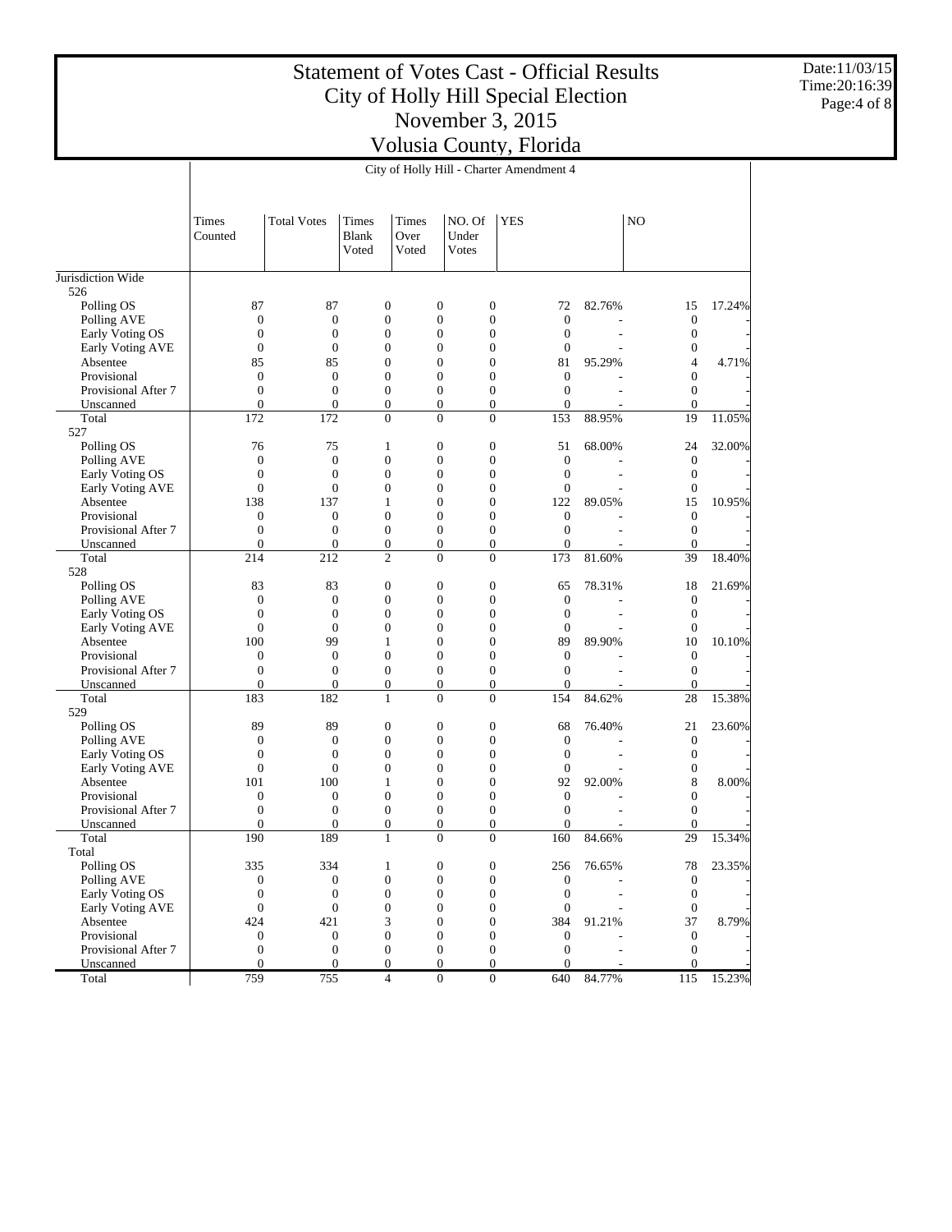Date:11/03/15 Time:20:16:39 Page:4 of 8

|                                |                                      |                                      |                                  |               | City of Holly Hill - Charter Amendment 4 |                                      |                                      |        |                              |        |
|--------------------------------|--------------------------------------|--------------------------------------|----------------------------------|---------------|------------------------------------------|--------------------------------------|--------------------------------------|--------|------------------------------|--------|
|                                | Times                                | <b>Total Votes</b>                   | Times                            | Times         | NO. Of                                   | <b>YES</b>                           |                                      |        | N <sub>O</sub>               |        |
|                                | Counted                              |                                      | <b>Blank</b><br>Voted            | Over<br>Voted | Under<br>Votes                           |                                      |                                      |        |                              |        |
| Jurisdiction Wide              |                                      |                                      |                                  |               |                                          |                                      |                                      |        |                              |        |
| 526                            |                                      |                                      |                                  |               |                                          |                                      |                                      |        |                              |        |
| Polling OS                     | 87                                   | 87                                   | $\mathbf{0}$                     |               | $\boldsymbol{0}$                         | $\boldsymbol{0}$                     | 72                                   | 82.76% | 15                           | 17.24% |
| Polling AVE                    | $\boldsymbol{0}$                     | $\boldsymbol{0}$                     | $\boldsymbol{0}$                 |               | $\mathbf{0}$                             | $\boldsymbol{0}$                     | $\boldsymbol{0}$                     |        | $\mathbf{0}$                 |        |
| Early Voting OS                | $\boldsymbol{0}$                     | $\boldsymbol{0}$                     | $\boldsymbol{0}$                 |               | $\mathbf{0}$                             | $\boldsymbol{0}$                     | $\boldsymbol{0}$                     |        | $\mathbf{0}$                 |        |
| Early Voting AVE               | $\boldsymbol{0}$                     | $\boldsymbol{0}$                     | $\boldsymbol{0}$                 |               | $\mathbf{0}$                             | $\boldsymbol{0}$                     | $\mathbf{0}$                         |        | $\boldsymbol{0}$             |        |
| Absentee                       | 85                                   | 85                                   | $\boldsymbol{0}$                 |               | $\mathbf{0}$                             | $\boldsymbol{0}$                     | 81                                   | 95.29% | 4                            | 4.71%  |
| Provisional                    | $\boldsymbol{0}$                     | $\boldsymbol{0}$                     | $\boldsymbol{0}$                 |               | $\mathbf{0}$                             | $\boldsymbol{0}$                     | $\boldsymbol{0}$                     |        | $\boldsymbol{0}$             |        |
| Provisional After 7            | $\boldsymbol{0}$                     | $\boldsymbol{0}$                     | $\boldsymbol{0}$                 |               | $\mathbf{0}$                             | $\boldsymbol{0}$                     | $\boldsymbol{0}$                     |        | $\boldsymbol{0}$             |        |
| Unscanned                      | $\mathbf{0}$                         | $\mathbf{0}$                         | $\mathbf{0}$                     |               | $\boldsymbol{0}$                         | $\boldsymbol{0}$                     | $\mathbf{0}$                         |        | $\mathbf{0}$                 |        |
| Total                          | 172                                  | 172                                  | $\overline{0}$                   |               | $\overline{0}$                           | $\mathbf{0}$                         | 153                                  | 88.95% | 19                           | 11.05% |
| 527                            |                                      |                                      |                                  |               |                                          |                                      |                                      |        |                              |        |
| Polling OS                     | 76                                   | 75                                   | $\mathbf{1}$                     |               | $\mathbf{0}$                             | $\boldsymbol{0}$                     | 51                                   | 68.00% | 24                           | 32.00% |
| Polling AVE<br>Early Voting OS | $\boldsymbol{0}$<br>$\boldsymbol{0}$ | $\boldsymbol{0}$<br>$\boldsymbol{0}$ | $\boldsymbol{0}$<br>$\mathbf{0}$ |               | $\mathbf{0}$<br>$\mathbf{0}$             | $\boldsymbol{0}$<br>$\boldsymbol{0}$ | $\boldsymbol{0}$<br>$\boldsymbol{0}$ |        | $\mathbf{0}$<br>$\mathbf{0}$ |        |
| <b>Early Voting AVE</b>        | $\boldsymbol{0}$                     | $\boldsymbol{0}$                     | $\mathbf{0}$                     |               | $\mathbf{0}$                             | $\boldsymbol{0}$                     | $\mathbf{0}$                         |        | $\boldsymbol{0}$             |        |
| Absentee                       | 138                                  | 137                                  | $\mathbf{1}$                     |               | $\mathbf{0}$                             | $\boldsymbol{0}$                     | 122                                  | 89.05% | 15                           | 10.95% |
| Provisional                    | $\boldsymbol{0}$                     | $\boldsymbol{0}$                     | $\mathbf{0}$                     |               | $\mathbf{0}$                             | $\boldsymbol{0}$                     | $\boldsymbol{0}$                     |        | $\mathbf{0}$                 |        |
| Provisional After 7            | $\boldsymbol{0}$                     | $\boldsymbol{0}$                     | $\boldsymbol{0}$                 |               | $\mathbf{0}$                             | $\boldsymbol{0}$                     | $\boldsymbol{0}$                     |        | $\boldsymbol{0}$             |        |
| Unscanned                      | $\mathbf{0}$                         | $\mathbf{0}$                         | $\mathbf{0}$                     |               | $\boldsymbol{0}$                         | $\boldsymbol{0}$                     | $\mathbf{0}$                         |        | $\overline{0}$               |        |
| Total                          | 214                                  | 212                                  | $\overline{2}$                   |               | $\overline{0}$                           | $\boldsymbol{0}$                     | 173                                  | 81.60% | 39                           | 18.40% |
| 528                            |                                      |                                      |                                  |               |                                          |                                      |                                      |        |                              |        |
| Polling OS                     | 83                                   | 83                                   | $\mathbf{0}$                     |               | $\mathbf{0}$                             | $\boldsymbol{0}$                     | 65                                   | 78.31% | 18                           | 21.69% |
| Polling AVE                    | $\boldsymbol{0}$                     | $\boldsymbol{0}$                     | $\boldsymbol{0}$                 |               | $\mathbf{0}$                             | $\boldsymbol{0}$                     | $\boldsymbol{0}$                     |        | $\mathbf{0}$                 |        |
| Early Voting OS                | $\boldsymbol{0}$                     | $\boldsymbol{0}$                     | $\mathbf{0}$                     |               | $\mathbf{0}$                             | $\boldsymbol{0}$                     | $\mathbf{0}$                         |        | $\mathbf{0}$                 |        |
| Early Voting AVE               | $\boldsymbol{0}$                     | $\boldsymbol{0}$                     | $\mathbf{0}$                     |               | $\mathbf{0}$                             | $\boldsymbol{0}$                     | $\mathbf{0}$                         |        | $\boldsymbol{0}$             |        |
| Absentee                       | 100                                  | 99                                   | $\mathbf{1}$                     |               | $\mathbf{0}$                             | $\boldsymbol{0}$                     | 89                                   | 89.90% | 10                           | 10.10% |
| Provisional                    | $\boldsymbol{0}$                     | $\boldsymbol{0}$                     | $\mathbf{0}$                     |               | $\mathbf{0}$                             | $\boldsymbol{0}$                     | $\boldsymbol{0}$                     |        | $\mathbf{0}$                 |        |
| Provisional After 7            | $\boldsymbol{0}$                     | $\boldsymbol{0}$                     | $\boldsymbol{0}$                 |               | $\mathbf{0}$                             | $\boldsymbol{0}$                     | $\boldsymbol{0}$                     |        | $\mathbf{0}$                 |        |
| Unscanned                      | $\mathbf{0}$                         | $\mathbf{0}$                         | $\boldsymbol{0}$                 |               | $\boldsymbol{0}$                         | $\boldsymbol{0}$                     | $\mathbf{0}$                         |        | $\overline{0}$               |        |
| Total                          | 183                                  | 182                                  | 1                                |               | $\overline{0}$                           | $\mathbf{0}$                         | 154                                  | 84.62% | 28                           | 15.38% |
| 529                            |                                      |                                      |                                  |               |                                          |                                      |                                      |        |                              |        |
| Polling OS                     | 89                                   | 89                                   | $\mathbf{0}$                     |               | $\mathbf{0}$                             | $\boldsymbol{0}$                     | 68                                   | 76.40% | 21                           | 23.60% |
| Polling AVE                    | $\boldsymbol{0}$                     | $\boldsymbol{0}$                     | $\boldsymbol{0}$                 |               | $\mathbf{0}$                             | $\boldsymbol{0}$                     | $\boldsymbol{0}$                     |        | $\mathbf{0}$                 |        |
| Early Voting OS                | $\boldsymbol{0}$                     | $\boldsymbol{0}$                     | $\mathbf{0}$                     |               | $\mathbf{0}$                             | $\boldsymbol{0}$                     | $\boldsymbol{0}$                     |        | $\mathbf{0}$                 |        |
| <b>Early Voting AVE</b>        | $\boldsymbol{0}$                     | $\boldsymbol{0}$                     | $\mathbf{0}$                     |               | $\mathbf{0}$                             | $\boldsymbol{0}$                     | $\mathbf{0}$                         |        | $\boldsymbol{0}$             |        |
| Absentee                       | 101                                  | 100                                  | $\mathbf{1}$                     |               | $\mathbf{0}$                             | $\boldsymbol{0}$                     | 92                                   | 92.00% | 8                            | 8.00%  |
| Provisional                    | $\boldsymbol{0}$                     | $\boldsymbol{0}$                     | $\mathbf{0}$                     |               | $\mathbf{0}$                             | $\boldsymbol{0}$                     | $\boldsymbol{0}$                     |        | $\boldsymbol{0}$             |        |
| Provisional After 7            | $\boldsymbol{0}$                     | $\boldsymbol{0}$                     | $\mathbf{0}$                     |               | $\mathbf{0}$                             | $\boldsymbol{0}$                     | $\boldsymbol{0}$                     |        | $\boldsymbol{0}$             |        |
| Unscanned                      | $\overline{0}$                       | $\Omega$                             | $\mathbf{0}$                     |               | $\mathbf{0}$                             | $\boldsymbol{0}$                     | $\overline{0}$                       |        | $\overline{0}$               |        |
| Total                          | 190                                  | 189                                  | 1                                |               | $\overline{0}$                           | $\boldsymbol{0}$                     | 160                                  | 84.66% | 29                           | 15.34% |
| Total                          |                                      |                                      |                                  |               |                                          |                                      |                                      |        |                              |        |
| Polling OS<br>Polling AVE      | 335<br>$\boldsymbol{0}$              | 334<br>$\boldsymbol{0}$              | 1<br>$\boldsymbol{0}$            |               | $\bf{0}$<br>$\boldsymbol{0}$             | 0<br>$\boldsymbol{0}$                | 256<br>$\boldsymbol{0}$              | 76.65% | 78<br>$\boldsymbol{0}$       | 23.35% |
| Early Voting OS                | $\boldsymbol{0}$                     | $\boldsymbol{0}$                     | $\boldsymbol{0}$                 |               | $\mathbf{0}$                             | $\boldsymbol{0}$                     | $\boldsymbol{0}$                     |        | $\mathbf{0}$                 |        |
| Early Voting AVE               | $\mathbf{0}$                         | $\mathbf{0}$                         | $\boldsymbol{0}$                 |               | $\boldsymbol{0}$                         | $\boldsymbol{0}$                     | $\boldsymbol{0}$                     |        | $\boldsymbol{0}$             |        |
| Absentee                       | 424                                  | 421                                  | 3                                |               | $\boldsymbol{0}$                         | $\boldsymbol{0}$                     | 384                                  | 91.21% | 37                           | 8.79%  |
| Provisional                    | $\mathbf{0}$                         | $\boldsymbol{0}$                     | $\boldsymbol{0}$                 |               | $\boldsymbol{0}$                         | $\boldsymbol{0}$                     | $\boldsymbol{0}$                     |        | $\mathbf{0}$                 |        |
| Provisional After 7            | $\boldsymbol{0}$                     | $\mathbf{0}$                         | $\boldsymbol{0}$                 |               | $\boldsymbol{0}$                         | $\boldsymbol{0}$                     | $\boldsymbol{0}$                     |        | $\mathbf{0}$                 |        |
| Unscanned                      | $\overline{0}$                       | $\mathbf{0}$                         | $\boldsymbol{0}$                 |               | $\boldsymbol{0}$                         | $\overline{0}$                       | $\mathbf{0}$                         |        | $\mathbf{0}$                 |        |
| Total                          | 759                                  | 755                                  | $\overline{4}$                   |               | $\overline{0}$                           | $\boldsymbol{0}$                     | 640                                  | 84.77% | 115                          | 15.23% |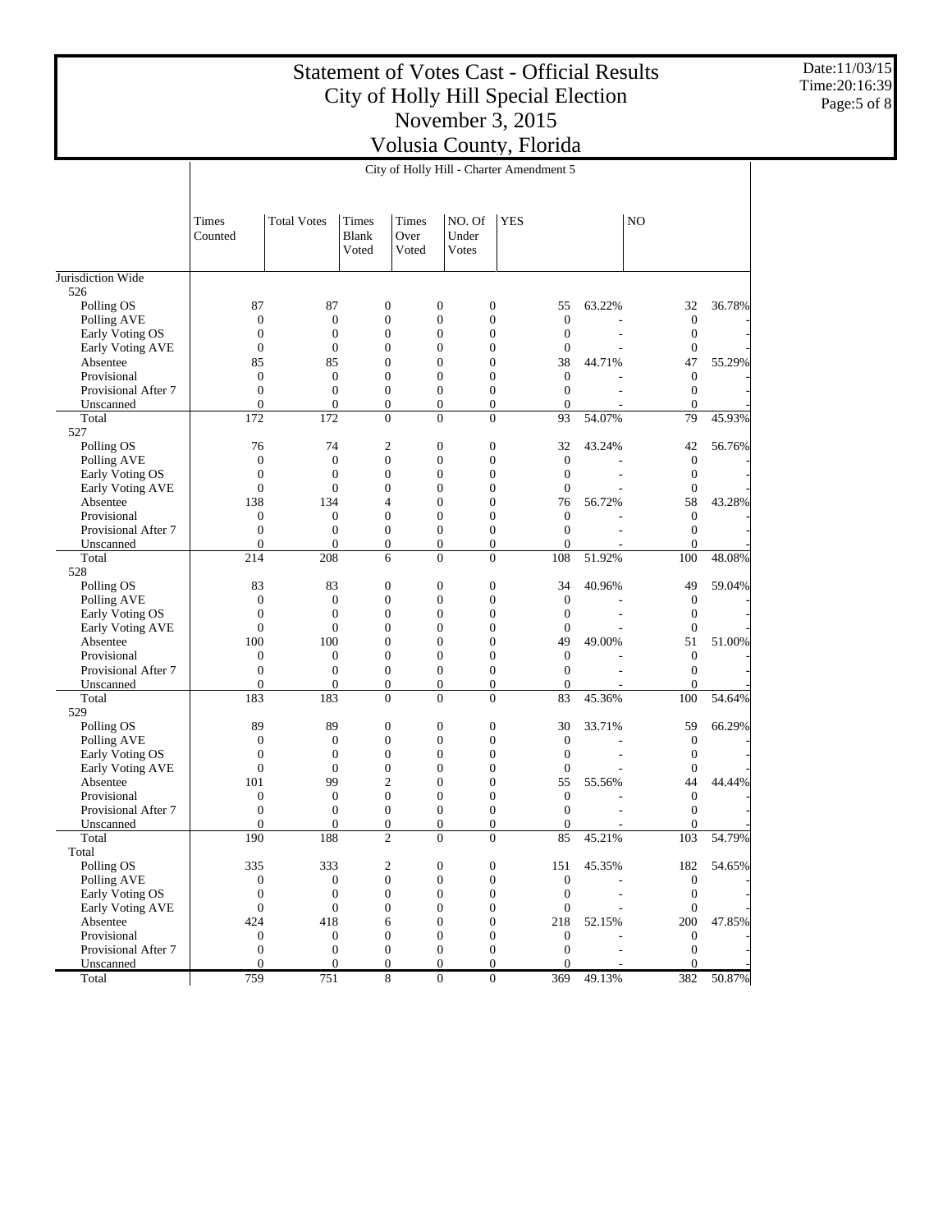Date:11/03/15 Time:20:16:39 Page:5 of 8

|                                |                  |                        |                                |                        | City of Holly Hill - Charter Amendment 5 |                  |                  |        |                       |        |
|--------------------------------|------------------|------------------------|--------------------------------|------------------------|------------------------------------------|------------------|------------------|--------|-----------------------|--------|
|                                |                  |                        |                                |                        |                                          |                  |                  |        |                       |        |
|                                | Times<br>Counted | <b>Total Votes</b>     | Times<br><b>Blank</b><br>Voted | Times<br>Over<br>Voted | NO. Of<br>Under<br>Votes                 | <b>YES</b>       |                  |        | N <sub>O</sub>        |        |
| Jurisdiction Wide              |                  |                        |                                |                        |                                          |                  |                  |        |                       |        |
| 526                            |                  |                        |                                |                        |                                          |                  |                  |        |                       |        |
| Polling OS                     | 87               | 87                     | $\mathbf{0}$                   |                        | $\mathbf{0}$                             | $\boldsymbol{0}$ | 55               | 63.22% | 32                    | 36.78% |
| Polling AVE                    | $\boldsymbol{0}$ | $\boldsymbol{0}$       | $\boldsymbol{0}$               |                        | $\mathbf{0}$                             | $\boldsymbol{0}$ | $\boldsymbol{0}$ |        | $\mathbf{0}$          |        |
| Early Voting OS                | $\boldsymbol{0}$ | $\boldsymbol{0}$       | $\boldsymbol{0}$               |                        | $\mathbf{0}$                             | $\boldsymbol{0}$ | $\boldsymbol{0}$ |        | $\mathbf{0}$          |        |
| Early Voting AVE               | $\boldsymbol{0}$ | $\boldsymbol{0}$       | $\mathbf{0}$                   |                        | $\mathbf{0}$                             | $\boldsymbol{0}$ | $\mathbf{0}$     |        | $\mathbf{0}$          |        |
| Absentee                       | 85               | 85                     | $\boldsymbol{0}$               |                        | $\mathbf{0}$                             | $\boldsymbol{0}$ | 38               | 44.71% | 47                    | 55.29% |
| Provisional                    | $\boldsymbol{0}$ | $\boldsymbol{0}$       | $\boldsymbol{0}$               |                        | $\mathbf{0}$                             | $\boldsymbol{0}$ | $\boldsymbol{0}$ |        | $\mathbf{0}$          |        |
| Provisional After 7            | $\boldsymbol{0}$ | $\boldsymbol{0}$       | $\boldsymbol{0}$               |                        | $\mathbf{0}$                             | $\boldsymbol{0}$ | $\boldsymbol{0}$ |        | $\boldsymbol{0}$      |        |
| Unscanned                      | $\mathbf{0}$     | $\mathbf{0}$           | $\overline{0}$                 |                        | $\boldsymbol{0}$                         | $\boldsymbol{0}$ | $\mathbf{0}$     |        | $\overline{0}$        |        |
| Total                          | 172              | 172                    | $\mathbf{0}$                   |                        | $\overline{0}$                           | $\mathbf{0}$     | 93               | 54.07% | 79                    | 45.93% |
| 527                            |                  |                        |                                |                        |                                          |                  |                  |        |                       |        |
| Polling OS                     | 76               | 74                     | $\overline{c}$                 |                        | $\mathbf{0}$                             | $\boldsymbol{0}$ | 32               | 43.24% | 42                    | 56.76% |
| Polling AVE                    | $\boldsymbol{0}$ | $\boldsymbol{0}$       | $\boldsymbol{0}$               |                        | $\mathbf{0}$                             | $\boldsymbol{0}$ | $\boldsymbol{0}$ |        | $\mathbf{0}$          |        |
| Early Voting OS                | $\boldsymbol{0}$ | $\boldsymbol{0}$       | $\mathbf{0}$                   |                        | $\mathbf{0}$                             | $\boldsymbol{0}$ | $\boldsymbol{0}$ |        | $\mathbf{0}$          |        |
| <b>Early Voting AVE</b>        | $\boldsymbol{0}$ | $\boldsymbol{0}$       | $\boldsymbol{0}$               |                        | $\mathbf{0}$                             | $\boldsymbol{0}$ | $\mathbf{0}$     |        | $\mathbf{0}$          |        |
| Absentee                       | 138              | 134                    | $\overline{4}$                 |                        | $\mathbf{0}$                             | $\boldsymbol{0}$ | 76               | 56.72% | 58                    | 43.28% |
| Provisional                    | $\boldsymbol{0}$ | $\boldsymbol{0}$       | $\mathbf{0}$                   |                        | $\mathbf{0}$                             | $\boldsymbol{0}$ | $\boldsymbol{0}$ |        | $\mathbf{0}$          |        |
| Provisional After 7            | $\boldsymbol{0}$ | $\boldsymbol{0}$       | $\boldsymbol{0}$               |                        | $\mathbf{0}$                             | $\boldsymbol{0}$ | $\boldsymbol{0}$ |        | $\boldsymbol{0}$      |        |
| Unscanned                      | $\mathbf{0}$     | $\mathbf{0}$           | $\boldsymbol{0}$               |                        | $\boldsymbol{0}$<br>$\overline{0}$       | $\boldsymbol{0}$ | $\overline{0}$   |        | $\overline{0}$<br>100 | 48.08% |
| Total                          | 214              | 208                    | 6                              |                        |                                          | $\boldsymbol{0}$ | 108              | 51.92% |                       |        |
| 528<br>Polling OS              | 83               |                        | $\mathbf{0}$                   |                        | $\mathbf{0}$                             | $\boldsymbol{0}$ | 34               |        | 49                    |        |
|                                | $\boldsymbol{0}$ | 83<br>$\boldsymbol{0}$ | $\boldsymbol{0}$               |                        | $\mathbf{0}$                             | $\boldsymbol{0}$ | $\boldsymbol{0}$ | 40.96% | $\mathbf{0}$          | 59.04% |
| Polling AVE<br>Early Voting OS | $\boldsymbol{0}$ | $\boldsymbol{0}$       | $\boldsymbol{0}$               |                        | $\mathbf{0}$                             | $\boldsymbol{0}$ | $\boldsymbol{0}$ |        | $\mathbf{0}$          |        |
| Early Voting AVE               | $\boldsymbol{0}$ | $\boldsymbol{0}$       | $\mathbf{0}$                   |                        | $\boldsymbol{0}$                         | $\boldsymbol{0}$ | $\mathbf{0}$     |        | $\boldsymbol{0}$      |        |
| Absentee                       | 100              | 100                    | $\mathbf{0}$                   |                        | $\mathbf{0}$                             | $\boldsymbol{0}$ | 49               | 49.00% | 51                    | 51.00% |
| Provisional                    | $\boldsymbol{0}$ | $\boldsymbol{0}$       | $\boldsymbol{0}$               |                        | $\mathbf{0}$                             | $\boldsymbol{0}$ | $\boldsymbol{0}$ |        | $\mathbf{0}$          |        |
| Provisional After 7            | $\boldsymbol{0}$ | $\boldsymbol{0}$       | $\boldsymbol{0}$               |                        | $\mathbf{0}$                             | $\boldsymbol{0}$ | $\boldsymbol{0}$ |        | $\mathbf{0}$          |        |
| Unscanned                      | $\mathbf{0}$     | $\mathbf{0}$           | $\mathbf{0}$                   |                        | $\boldsymbol{0}$                         | $\boldsymbol{0}$ | $\boldsymbol{0}$ |        | $\overline{0}$        |        |
| Total                          | 183              | 183                    | $\mathbf{0}$                   |                        | $\Omega$                                 | $\mathbf{0}$     | 83               | 45.36% | 100                   | 54.64% |
| 529                            |                  |                        |                                |                        |                                          |                  |                  |        |                       |        |
| Polling OS                     | 89               | 89                     | $\mathbf{0}$                   |                        | $\boldsymbol{0}$                         | $\boldsymbol{0}$ | 30               | 33.71% | 59                    | 66.29% |
| Polling AVE                    | $\boldsymbol{0}$ | $\boldsymbol{0}$       | $\boldsymbol{0}$               |                        | $\mathbf{0}$                             | $\boldsymbol{0}$ | $\boldsymbol{0}$ |        | $\mathbf{0}$          |        |
| Early Voting OS                | $\boldsymbol{0}$ | $\boldsymbol{0}$       | $\mathbf{0}$                   |                        | $\mathbf{0}$                             | $\boldsymbol{0}$ | $\boldsymbol{0}$ |        | $\mathbf{0}$          |        |
| Early Voting AVE               | $\boldsymbol{0}$ | $\boldsymbol{0}$       | $\boldsymbol{0}$               |                        | $\mathbf{0}$                             | $\boldsymbol{0}$ | $\mathbf{0}$     |        | $\boldsymbol{0}$      |        |
| Absentee                       | 101              | 99                     | $\overline{2}$                 |                        | $\mathbf{0}$                             | $\boldsymbol{0}$ | 55               | 55.56% | 44                    | 44.44% |
| Provisional                    | $\boldsymbol{0}$ | $\boldsymbol{0}$       | $\mathbf{0}$                   |                        | $\mathbf{0}$                             | $\boldsymbol{0}$ | $\boldsymbol{0}$ |        | $\mathbf{0}$          |        |
| Provisional After 7            | $\boldsymbol{0}$ | $\boldsymbol{0}$       | $\boldsymbol{0}$               |                        | $\mathbf{0}$                             | $\boldsymbol{0}$ | $\boldsymbol{0}$ |        | $\boldsymbol{0}$      |        |
| Unscanned                      | $\overline{0}$   | $\Omega$               | $\mathbf{0}$                   |                        | $\mathbf{0}$                             | $\boldsymbol{0}$ | $\mathbf{0}$     |        | $\overline{0}$        |        |
| Total                          | 190              | 188                    | $\overline{2}$                 |                        | $\overline{0}$                           | $\boldsymbol{0}$ | 85               | 45.21% | 103                   | 54.79% |
| Total                          |                  |                        |                                |                        |                                          |                  |                  |        |                       |        |
| Polling OS                     | 335              | 333                    | 2                              |                        | $\bf{0}$                                 | 0                | 151              | 45.35% | 182                   | 54.65% |
| Polling AVE                    | $\boldsymbol{0}$ | $\boldsymbol{0}$       | $\boldsymbol{0}$               |                        | $\boldsymbol{0}$                         | $\boldsymbol{0}$ | $\boldsymbol{0}$ |        | $\mathbf{0}$          |        |
| Early Voting OS                | $\boldsymbol{0}$ | $\boldsymbol{0}$       | $\boldsymbol{0}$               |                        | $\mathbf{0}$                             | $\boldsymbol{0}$ | $\boldsymbol{0}$ |        | $\mathbf{0}$          |        |
| Early Voting AVE               | $\mathbf{0}$     | $\mathbf{0}$           | $\boldsymbol{0}$               |                        | $\boldsymbol{0}$                         | $\boldsymbol{0}$ | $\boldsymbol{0}$ |        | $\mathbf{0}$          |        |
| Absentee                       | 424              | 418                    | 6                              |                        | $\boldsymbol{0}$                         | $\boldsymbol{0}$ | 218              | 52.15% | 200                   | 47.85% |
| Provisional                    | $\mathbf{0}$     | $\boldsymbol{0}$       | $\boldsymbol{0}$               |                        | $\boldsymbol{0}$                         | $\boldsymbol{0}$ | $\boldsymbol{0}$ |        | $\mathbf{0}$          |        |
| Provisional After 7            | $\boldsymbol{0}$ | $\mathbf{0}$           | $\boldsymbol{0}$               |                        | $\boldsymbol{0}$                         | $\boldsymbol{0}$ | $\boldsymbol{0}$ |        | $\mathbf{0}$          |        |
| Unscanned                      | $\mathbf{0}$     | $\mathbf{0}$           | $\boldsymbol{0}$               |                        | $\mathbf{0}$                             | $\overline{0}$   | $\Omega$         |        | $\mathbf{0}$          |        |
| Total                          | 759              | 751                    | 8                              |                        | $\overline{0}$                           | $\boldsymbol{0}$ | 369              | 49.13% | 382                   | 50.87% |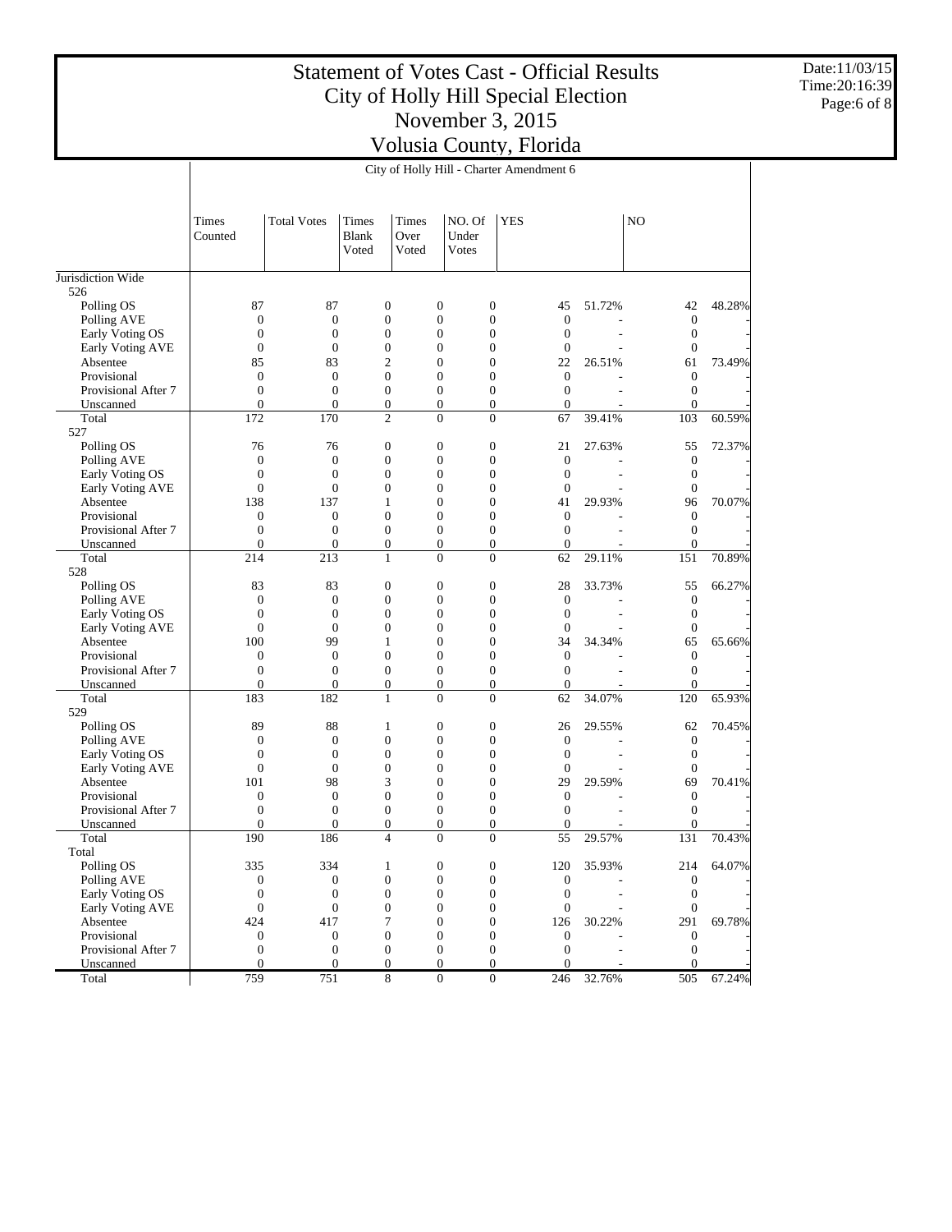Date:11/03/15 Time:20:16:39 Page:6 of 8

|                                |                        |                        |                                  |                        |                                                  | City of Holly Hill - Charter Amendment 6 |                        |        |                    |        |
|--------------------------------|------------------------|------------------------|----------------------------------|------------------------|--------------------------------------------------|------------------------------------------|------------------------|--------|--------------------|--------|
|                                |                        |                        |                                  |                        |                                                  |                                          |                        |        |                    |        |
|                                | Times<br>Counted       | <b>Total Votes</b>     | Times<br><b>Blank</b><br>Voted   | Times<br>Over<br>Voted | NO. Of<br>Under<br>Votes                         | <b>YES</b>                               |                        |        | N <sub>O</sub>     |        |
| Jurisdiction Wide              |                        |                        |                                  |                        |                                                  |                                          |                        |        |                    |        |
| 526                            |                        |                        |                                  |                        |                                                  |                                          |                        |        |                    |        |
| Polling OS                     | 87                     | 87                     | $\mathbf{0}$                     |                        | $\boldsymbol{0}$<br>$\boldsymbol{0}$             |                                          | 45                     | 51.72% | 42                 | 48.28% |
| Polling AVE                    | $\boldsymbol{0}$       | $\boldsymbol{0}$       | $\boldsymbol{0}$                 |                        | $\mathbf{0}$                                     | $\boldsymbol{0}$                         | $\boldsymbol{0}$       |        | $\mathbf{0}$       |        |
| Early Voting OS                | $\boldsymbol{0}$       | $\boldsymbol{0}$       | $\boldsymbol{0}$                 |                        | $\mathbf{0}$                                     | $\boldsymbol{0}$                         | $\boldsymbol{0}$       |        | $\mathbf{0}$       |        |
| Early Voting AVE               | $\boldsymbol{0}$       | $\boldsymbol{0}$       | $\boldsymbol{0}$                 |                        | $\mathbf{0}$                                     | $\boldsymbol{0}$                         | $\mathbf{0}$           |        | $\boldsymbol{0}$   |        |
| Absentee                       | 85                     | 83                     | $\overline{2}$                   |                        | $\mathbf{0}$                                     | $\boldsymbol{0}$                         | 22                     | 26.51% | 61                 | 73.49% |
| Provisional                    | $\boldsymbol{0}$       | $\boldsymbol{0}$       | $\boldsymbol{0}$                 |                        | $\mathbf{0}$                                     | $\boldsymbol{0}$                         | $\boldsymbol{0}$       |        | $\boldsymbol{0}$   |        |
| Provisional After 7            | $\boldsymbol{0}$       | $\boldsymbol{0}$       | $\boldsymbol{0}$                 |                        | $\mathbf{0}$                                     | $\boldsymbol{0}$                         | $\boldsymbol{0}$       |        | $\mathbf{0}$       |        |
| Unscanned                      | $\mathbf{0}$           | $\mathbf{0}$           | $\boldsymbol{0}$                 |                        | $\boldsymbol{0}$                                 | $\boldsymbol{0}$                         | $\mathbf{0}$           |        | $\overline{0}$     |        |
| Total<br>527                   | 172                    | 170                    | $\overline{2}$                   |                        | $\overline{0}$                                   | $\mathbf{0}$                             | 67                     | 39.41% | 103                | 60.59% |
| Polling OS                     | 76                     | 76                     | $\mathbf{0}$                     |                        | $\mathbf{0}$<br>$\boldsymbol{0}$                 |                                          | 21                     | 27.63% | 55                 | 72.37% |
| Polling AVE                    | $\boldsymbol{0}$       | $\boldsymbol{0}$       | $\boldsymbol{0}$                 |                        | $\mathbf{0}$                                     | $\boldsymbol{0}$                         | $\boldsymbol{0}$       |        | $\mathbf{0}$       |        |
| Early Voting OS                | $\boldsymbol{0}$       | $\boldsymbol{0}$       | $\mathbf{0}$                     |                        | $\mathbf{0}$                                     | $\boldsymbol{0}$                         | $\boldsymbol{0}$       |        | $\mathbf{0}$       |        |
| <b>Early Voting AVE</b>        | $\boldsymbol{0}$       | $\boldsymbol{0}$       | $\boldsymbol{0}$                 |                        | $\mathbf{0}$                                     | $\boldsymbol{0}$                         | $\mathbf{0}$           |        | $\boldsymbol{0}$   |        |
| Absentee                       | 138                    | 137                    | $\mathbf{1}$                     |                        | $\mathbf{0}$                                     | $\boldsymbol{0}$                         | 41                     | 29.93% | 96                 | 70.07% |
| Provisional                    | $\boldsymbol{0}$       | $\boldsymbol{0}$       | $\mathbf{0}$                     |                        | $\mathbf{0}$                                     | $\boldsymbol{0}$                         | $\boldsymbol{0}$       |        | $\mathbf{0}$       |        |
| Provisional After 7            | $\boldsymbol{0}$       | $\boldsymbol{0}$       | $\boldsymbol{0}$                 |                        | $\mathbf{0}$                                     | $\boldsymbol{0}$                         | $\boldsymbol{0}$       |        | $\boldsymbol{0}$   |        |
| Unscanned                      | $\mathbf{0}$           | $\mathbf{0}$           | $\mathbf{0}$                     |                        | $\boldsymbol{0}$                                 | $\boldsymbol{0}$                         | $\boldsymbol{0}$       |        | $\overline{0}$     |        |
| Total                          | 214                    | 213                    | 1                                |                        | $\overline{0}$                                   | $\boldsymbol{0}$                         | 62                     | 29.11% | 151                | 70.89% |
| 528                            |                        |                        |                                  |                        |                                                  |                                          |                        |        |                    |        |
| Polling OS                     | 83                     | 83                     | $\mathbf{0}$                     |                        | $\mathbf{0}$<br>$\boldsymbol{0}$                 |                                          | 28                     | 33.73% | 55                 | 66.27% |
| Polling AVE                    | $\boldsymbol{0}$       | $\boldsymbol{0}$       | $\boldsymbol{0}$                 |                        | $\mathbf{0}$                                     | $\boldsymbol{0}$                         | $\boldsymbol{0}$       |        | $\mathbf{0}$       |        |
| Early Voting OS                | $\boldsymbol{0}$       | $\boldsymbol{0}$       | $\mathbf{0}$                     |                        | $\mathbf{0}$                                     | $\boldsymbol{0}$                         | $\boldsymbol{0}$       |        | $\mathbf{0}$       |        |
| Early Voting AVE               | $\boldsymbol{0}$       | $\boldsymbol{0}$       | $\mathbf{0}$                     |                        | $\mathbf{0}$                                     | $\boldsymbol{0}$                         | $\mathbf{0}$           |        | $\boldsymbol{0}$   |        |
| Absentee                       | 100                    | 99                     | $\mathbf{1}$                     |                        | $\mathbf{0}$                                     | $\boldsymbol{0}$                         | 34                     | 34.34% | 65                 | 65.66% |
| Provisional                    | $\boldsymbol{0}$       | $\boldsymbol{0}$       | $\mathbf{0}$                     |                        | $\mathbf{0}$                                     | $\boldsymbol{0}$                         | $\boldsymbol{0}$       |        | $\mathbf{0}$       |        |
| Provisional After 7            | $\boldsymbol{0}$       | $\boldsymbol{0}$       | $\boldsymbol{0}$                 |                        | $\mathbf{0}$                                     | $\boldsymbol{0}$                         | $\boldsymbol{0}$       |        | $\mathbf{0}$       |        |
| Unscanned                      | $\mathbf{0}$           | $\mathbf{0}$           | $\mathbf{0}$                     |                        | $\boldsymbol{0}$                                 | $\boldsymbol{0}$                         | $\boldsymbol{0}$       |        | $\overline{0}$     |        |
| Total                          | 183                    | 182                    | 1                                |                        | $\Omega$                                         | $\mathbf{0}$                             | 62                     | 34.07% | 120                | 65.93% |
| 529                            |                        |                        |                                  |                        |                                                  |                                          |                        |        |                    |        |
| Polling OS                     | 89<br>$\boldsymbol{0}$ | 88<br>$\boldsymbol{0}$ | $\mathbf{1}$<br>$\boldsymbol{0}$ |                        | $\mathbf{0}$<br>$\boldsymbol{0}$<br>$\mathbf{0}$ | $\boldsymbol{0}$                         | 26<br>$\boldsymbol{0}$ | 29.55% | 62<br>$\mathbf{0}$ | 70.45% |
| Polling AVE<br>Early Voting OS | $\boldsymbol{0}$       | $\boldsymbol{0}$       | $\mathbf{0}$                     |                        | $\mathbf{0}$                                     | $\boldsymbol{0}$                         | $\boldsymbol{0}$       |        | $\mathbf{0}$       |        |
| <b>Early Voting AVE</b>        | $\boldsymbol{0}$       | $\boldsymbol{0}$       | $\boldsymbol{0}$                 |                        | $\mathbf{0}$                                     | $\boldsymbol{0}$                         | $\boldsymbol{0}$       |        | $\boldsymbol{0}$   |        |
| Absentee                       | 101                    | 98                     | 3                                |                        | $\mathbf{0}$                                     | $\boldsymbol{0}$                         | 29                     | 29.59% | 69                 | 70.41% |
| Provisional                    | $\boldsymbol{0}$       | $\boldsymbol{0}$       | $\mathbf{0}$                     |                        | $\mathbf{0}$                                     | $\boldsymbol{0}$                         | $\boldsymbol{0}$       |        | $\mathbf{0}$       |        |
| Provisional After 7            | $\boldsymbol{0}$       | $\boldsymbol{0}$       | $\boldsymbol{0}$                 |                        | $\mathbf{0}$                                     | $\boldsymbol{0}$                         | $\boldsymbol{0}$       |        | $\mathbf{0}$       |        |
| Unscanned                      | $\overline{0}$         | $\Omega$               | $\mathbf{0}$                     |                        | $\mathbf{0}$                                     | $\boldsymbol{0}$                         | $\overline{0}$         |        | $\overline{0}$     |        |
| Total                          | 190                    | 186                    | $\overline{4}$                   |                        | $\mathbf{0}$<br>$\boldsymbol{0}$                 |                                          | 55                     | 29.57% | 131                | 70.43% |
| Total                          |                        |                        |                                  |                        |                                                  |                                          |                        |        |                    |        |
| Polling OS                     | 335                    | 334                    | 1                                |                        | $\bf{0}$                                         | 0                                        | 120                    | 35.93% | 214                | 64.07% |
| Polling AVE                    | $\boldsymbol{0}$       | $\boldsymbol{0}$       | $\boldsymbol{0}$                 |                        | $\boldsymbol{0}$                                 | $\boldsymbol{0}$                         | $\boldsymbol{0}$       |        | $\boldsymbol{0}$   |        |
| Early Voting OS                | $\boldsymbol{0}$       | $\boldsymbol{0}$       | $\boldsymbol{0}$                 |                        | $\mathbf{0}$                                     | $\boldsymbol{0}$                         | $\boldsymbol{0}$       |        | $\mathbf{0}$       |        |
| Early Voting AVE               | $\mathbf{0}$           | $\mathbf{0}$           | $\boldsymbol{0}$                 |                        | $\boldsymbol{0}$                                 | $\boldsymbol{0}$                         | $\boldsymbol{0}$       |        | $\mathbf{0}$       |        |
| Absentee                       | 424                    | 417                    | 7                                |                        | $\boldsymbol{0}$                                 | $\boldsymbol{0}$                         | 126                    | 30.22% | 291                | 69.78% |
| Provisional                    | $\mathbf{0}$           | $\boldsymbol{0}$       | $\boldsymbol{0}$                 |                        | $\boldsymbol{0}$                                 | $\boldsymbol{0}$                         | $\boldsymbol{0}$       |        | $\mathbf{0}$       |        |
| Provisional After 7            | $\boldsymbol{0}$       | $\mathbf{0}$           | $\boldsymbol{0}$                 |                        | $\boldsymbol{0}$                                 | $\boldsymbol{0}$                         | $\boldsymbol{0}$       |        | $\mathbf{0}$       |        |
| Unscanned                      | $\mathbf{0}$           | $\mathbf{0}$           | $\boldsymbol{0}$                 |                        | $\mathbf{0}$                                     | $\overline{0}$                           | $\mathbf{0}$           |        | $\mathbf{0}$       |        |
| Total                          | 759                    | 751                    | 8                                |                        | $\overline{0}$<br>$\boldsymbol{0}$               |                                          | 246                    | 32.76% | 505                | 67.24% |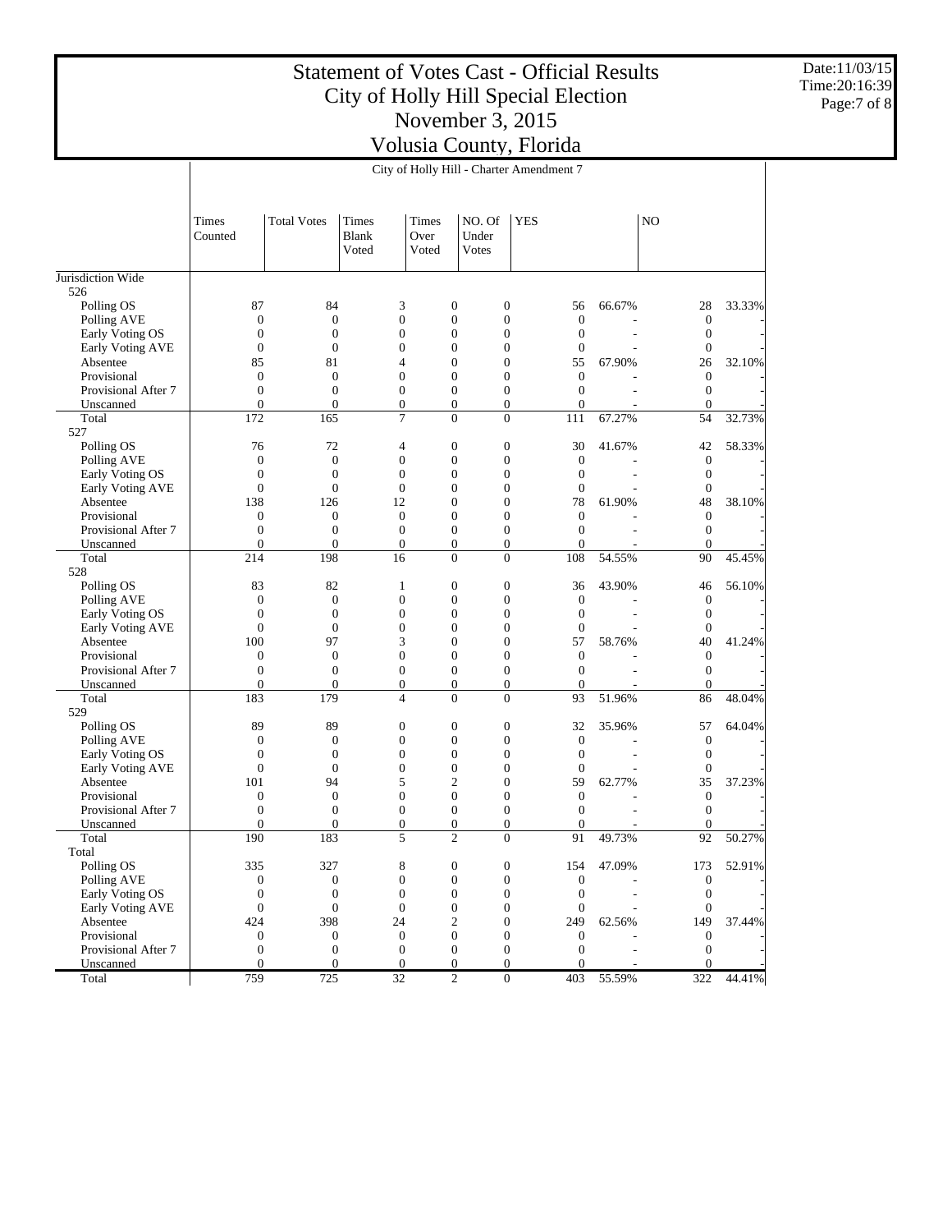Date:11/03/15 Time:20:16:39 Page:7 of 8

|                           |                                    | City of Holly Hill - Charter Amendment 7 |                                      |                                      |                                      |                                |                          |                                      |        |  |  |
|---------------------------|------------------------------------|------------------------------------------|--------------------------------------|--------------------------------------|--------------------------------------|--------------------------------|--------------------------|--------------------------------------|--------|--|--|
|                           |                                    |                                          |                                      |                                      |                                      |                                |                          |                                      |        |  |  |
|                           | Times<br>Counted                   | <b>Total Votes</b>                       | Times<br><b>Blank</b><br>Voted       | Times<br>Over<br>Voted               | NO. Of<br>Under<br><b>Votes</b>      | <b>YES</b>                     |                          | N <sub>O</sub>                       |        |  |  |
|                           |                                    |                                          |                                      |                                      |                                      |                                |                          |                                      |        |  |  |
| Jurisdiction Wide         |                                    |                                          |                                      |                                      |                                      |                                |                          |                                      |        |  |  |
| 526                       | 87                                 | 84                                       | 3                                    | $\mathbf{0}$                         |                                      | 56                             | 66.67%                   |                                      |        |  |  |
| Polling OS<br>Polling AVE | $\boldsymbol{0}$                   | $\boldsymbol{0}$                         | $\boldsymbol{0}$                     | $\boldsymbol{0}$                     | 0<br>$\boldsymbol{0}$                | $\mathbf{0}$                   |                          | 28<br>$\boldsymbol{0}$               | 33.33% |  |  |
| Early Voting OS           | $\boldsymbol{0}$                   | $\mathbf{0}$                             | $\boldsymbol{0}$                     | $\mathbf{0}$                         | $\boldsymbol{0}$                     | $\mathbf{0}$                   | ÷,                       | $\boldsymbol{0}$                     |        |  |  |
| Early Voting AVE          | $\boldsymbol{0}$                   | $\mathbf{0}$                             | $\boldsymbol{0}$                     | $\boldsymbol{0}$                     | $\boldsymbol{0}$                     | $\boldsymbol{0}$               |                          | $\boldsymbol{0}$                     |        |  |  |
| Absentee                  | 85                                 | 81                                       | $\overline{4}$                       | $\boldsymbol{0}$                     | $\boldsymbol{0}$                     | 55                             | 67.90%                   | 26                                   | 32.10% |  |  |
| Provisional               | $\boldsymbol{0}$                   | $\boldsymbol{0}$                         | $\boldsymbol{0}$                     | $\boldsymbol{0}$                     | $\mathbf{0}$                         | $\mathbf{0}$                   |                          | $\boldsymbol{0}$                     |        |  |  |
| Provisional After 7       | $\boldsymbol{0}$                   | $\boldsymbol{0}$                         | $\boldsymbol{0}$                     | $\boldsymbol{0}$                     | $\boldsymbol{0}$                     | $\mathbf{0}$                   |                          | $\boldsymbol{0}$                     |        |  |  |
| Unscanned                 | $\overline{0}$                     | $\mathbf{0}$                             | $\boldsymbol{0}$                     | $\mathbf{0}$                         | $\boldsymbol{0}$                     | $\overline{0}$                 |                          | $\boldsymbol{0}$                     |        |  |  |
| Total                     | 172                                | 165                                      | $\overline{7}$                       | $\overline{0}$                       | $\overline{0}$                       | 111                            | 67.27%                   | 54                                   | 32.73% |  |  |
| 527                       |                                    |                                          |                                      |                                      |                                      |                                |                          |                                      |        |  |  |
| Polling OS                | 76                                 | 72                                       | 4                                    | $\mathbf{0}$                         | $\boldsymbol{0}$                     | 30                             | 41.67%                   | 42                                   | 58.33% |  |  |
| Polling AVE               | $\boldsymbol{0}$                   | $\mathbf{0}$                             | $\boldsymbol{0}$                     | $\boldsymbol{0}$                     | $\boldsymbol{0}$                     | $\mathbf{0}$                   |                          | $\boldsymbol{0}$                     |        |  |  |
| Early Voting OS           | $\boldsymbol{0}$                   | $\mathbf{0}$                             | $\boldsymbol{0}$                     | $\mathbf{0}$                         | $\boldsymbol{0}$                     | $\mathbf{0}$                   |                          | $\boldsymbol{0}$                     |        |  |  |
| <b>Early Voting AVE</b>   | $\boldsymbol{0}$                   | $\mathbf{0}$                             | $\boldsymbol{0}$                     | $\boldsymbol{0}$                     | $\boldsymbol{0}$                     | $\boldsymbol{0}$               |                          | $\boldsymbol{0}$                     |        |  |  |
| Absentee                  | 138                                | 126                                      | 12                                   | $\boldsymbol{0}$                     | $\boldsymbol{0}$                     | 78                             | 61.90%                   | 48                                   | 38.10% |  |  |
| Provisional               | $\boldsymbol{0}$                   | $\boldsymbol{0}$                         | $\boldsymbol{0}$                     | $\boldsymbol{0}$                     | $\boldsymbol{0}$                     | $\boldsymbol{0}$               |                          | $\boldsymbol{0}$                     |        |  |  |
| Provisional After 7       | $\boldsymbol{0}$                   | $\boldsymbol{0}$                         | $\boldsymbol{0}$                     | $\mathbf{0}$                         | $\boldsymbol{0}$                     | $\boldsymbol{0}$               | $\overline{\phantom{a}}$ | $\boldsymbol{0}$                     |        |  |  |
| Unscanned                 | $\overline{0}$                     | $\mathbf{0}$                             | $\boldsymbol{0}$                     | $\boldsymbol{0}$                     | $\boldsymbol{0}$                     | $\Omega$                       |                          | $\boldsymbol{0}$                     |        |  |  |
| Total                     | 214                                | 198                                      | 16                                   | $\boldsymbol{0}$                     | $\overline{0}$                       | 108                            | 54.55%                   | 90                                   | 45.45% |  |  |
| 528                       |                                    |                                          |                                      |                                      |                                      |                                |                          |                                      |        |  |  |
| Polling OS                | 83                                 | 82                                       | 1                                    | $\mathbf{0}$                         | $\boldsymbol{0}$                     | 36                             | 43.90%                   | 46                                   | 56.10% |  |  |
| Polling AVE               | $\boldsymbol{0}$                   | $\boldsymbol{0}$                         | $\boldsymbol{0}$                     | $\boldsymbol{0}$                     | $\boldsymbol{0}$                     | $\mathbf{0}$                   |                          | $\boldsymbol{0}$                     |        |  |  |
| Early Voting OS           | $\boldsymbol{0}$                   | $\mathbf{0}$                             | $\boldsymbol{0}$                     | $\mathbf{0}$                         | $\boldsymbol{0}$                     | $\boldsymbol{0}$               |                          | $\boldsymbol{0}$                     |        |  |  |
| Early Voting AVE          | $\boldsymbol{0}$                   | $\mathbf{0}$                             | $\boldsymbol{0}$                     | $\boldsymbol{0}$                     | $\boldsymbol{0}$                     | $\boldsymbol{0}$               |                          | $\boldsymbol{0}$                     |        |  |  |
| Absentee                  | 100                                | 97                                       | 3                                    | $\boldsymbol{0}$                     | $\boldsymbol{0}$                     | 57                             | 58.76%                   | 40                                   | 41.24% |  |  |
| Provisional               | $\boldsymbol{0}$                   | $\boldsymbol{0}$                         | $\boldsymbol{0}$<br>$\boldsymbol{0}$ | $\boldsymbol{0}$                     | $\boldsymbol{0}$                     | $\mathbf{0}$                   |                          | $\boldsymbol{0}$                     |        |  |  |
| Provisional After 7       | $\boldsymbol{0}$<br>$\overline{0}$ | $\boldsymbol{0}$<br>$\mathbf{0}$         | $\boldsymbol{0}$                     | $\boldsymbol{0}$<br>$\boldsymbol{0}$ | $\boldsymbol{0}$<br>$\boldsymbol{0}$ | $\mathbf{0}$<br>$\overline{0}$ |                          | $\boldsymbol{0}$<br>$\boldsymbol{0}$ |        |  |  |
| Unscanned<br>Total        | 183                                | 179                                      | $\overline{4}$                       | $\overline{0}$                       | $\overline{0}$                       | 93                             | 51.96%                   | 86                                   | 48.04% |  |  |
| 529                       |                                    |                                          |                                      |                                      |                                      |                                |                          |                                      |        |  |  |
| Polling OS                | 89                                 | 89                                       | $\boldsymbol{0}$                     | $\mathbf{0}$                         | $\boldsymbol{0}$                     | 32                             | 35.96%                   | 57                                   | 64.04% |  |  |
| Polling AVE               | $\boldsymbol{0}$                   | $\mathbf{0}$                             | $\boldsymbol{0}$                     | $\boldsymbol{0}$                     | $\boldsymbol{0}$                     | $\mathbf{0}$                   |                          | $\boldsymbol{0}$                     |        |  |  |
| Early Voting OS           | $\boldsymbol{0}$                   | $\mathbf{0}$                             | $\boldsymbol{0}$                     | $\mathbf{0}$                         | $\boldsymbol{0}$                     | $\mathbf{0}$                   |                          | $\boldsymbol{0}$                     |        |  |  |
| <b>Early Voting AVE</b>   | $\boldsymbol{0}$                   | $\mathbf{0}$                             | $\boldsymbol{0}$                     | $\boldsymbol{0}$                     | $\boldsymbol{0}$                     | $\boldsymbol{0}$               |                          | $\boldsymbol{0}$                     |        |  |  |
| Absentee                  | 101                                | 94                                       | 5                                    | $\mathfrak{2}$                       | $\boldsymbol{0}$                     | 59                             | 62.77%                   | 35                                   | 37.23% |  |  |
| Provisional               | $\boldsymbol{0}$                   | $\boldsymbol{0}$                         | $\boldsymbol{0}$                     | $\boldsymbol{0}$                     | $\overline{0}$                       | $\boldsymbol{0}$               |                          | $\boldsymbol{0}$                     |        |  |  |
| Provisional After 7       | $\boldsymbol{0}$                   | $\boldsymbol{0}$                         | $\boldsymbol{0}$                     | $\boldsymbol{0}$                     | $\boldsymbol{0}$                     | $\mathbf{0}$                   |                          | $\boldsymbol{0}$                     |        |  |  |
| Unscanned                 | $\boldsymbol{0}$                   | $\mathbf{0}$                             | $\boldsymbol{0}$                     | $\boldsymbol{0}$                     | $\boldsymbol{0}$                     | $\overline{0}$                 |                          | $\boldsymbol{0}$                     |        |  |  |
| Total                     | 190                                | 183                                      | 5                                    | $\overline{c}$                       | $\overline{0}$                       | 91                             | 49.73%                   | 92                                   | 50.27% |  |  |
| Total                     |                                    |                                          |                                      |                                      |                                      |                                |                          |                                      |        |  |  |
| Polling OS                | 335                                | 327                                      | 8                                    | $\bf{0}$                             | 0                                    | 154                            | 47.09%                   | 173                                  | 52.91% |  |  |
| Polling AVE               | $\boldsymbol{0}$                   | $\boldsymbol{0}$                         | $\boldsymbol{0}$                     | $\boldsymbol{0}$                     | $\boldsymbol{0}$                     | $\boldsymbol{0}$               |                          | $\boldsymbol{0}$                     |        |  |  |
| Early Voting OS           | $\boldsymbol{0}$                   | $\boldsymbol{0}$                         | $\boldsymbol{0}$                     | $\boldsymbol{0}$                     | $\boldsymbol{0}$                     | $\boldsymbol{0}$               |                          | $\mathbf{0}$                         |        |  |  |
| Early Voting AVE          | $\boldsymbol{0}$                   | $\boldsymbol{0}$                         | $\boldsymbol{0}$                     | $\boldsymbol{0}$                     | $\boldsymbol{0}$                     | $\boldsymbol{0}$               |                          | $\mathbf{0}$                         |        |  |  |
| Absentee                  | 424                                | 398                                      | 24                                   | $\mathfrak{2}$                       | $\boldsymbol{0}$                     | 249                            | 62.56%                   | 149                                  | 37.44% |  |  |
| Provisional               | $\boldsymbol{0}$                   | $\mathbf{0}$                             | $\boldsymbol{0}$                     | $\boldsymbol{0}$                     | $\boldsymbol{0}$                     | $\boldsymbol{0}$               |                          | $\mathbf{0}$                         |        |  |  |
| Provisional After 7       | $\boldsymbol{0}$                   | $\mathbf{0}$                             | $\boldsymbol{0}$                     | $\boldsymbol{0}$                     | $\boldsymbol{0}$                     | $\boldsymbol{0}$               |                          | $\mathbf{0}$                         |        |  |  |
| Unscanned                 | $\mathbf{0}$                       | $\mathbf{0}$                             | $\mathbf{0}$                         | $\mathbf{0}$                         | $\overline{0}$                       | $\Omega$                       |                          | $\mathbf{0}$                         |        |  |  |
| Total                     | 759                                | 725                                      | $\overline{32}$                      | $\overline{c}$                       | $\overline{0}$                       | 403                            | 55.59%                   | 322                                  | 44.41% |  |  |